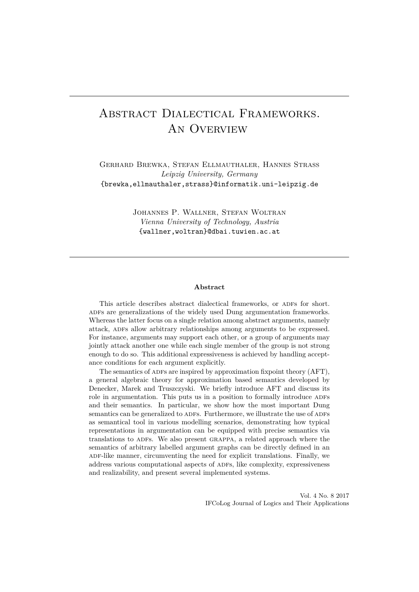# Abstract Dialectical Frameworks. An Overview

Gerhard Brewka, Stefan Ellmauthaler, Hannes Strass *Leipzig University, Germany* {brewka,ellmauthaler,strass}@informatik.uni-leipzig.de

> Johannes P. Wallner, Stefan Woltran *Vienna University of Technology, Austria* {wallner,woltran}@dbai.tuwien.ac.at

#### **Abstract**

This article describes abstract dialectical frameworks, or ADFs for short. ADFs are generalizations of the widely used Dung argumentation frameworks. Whereas the latter focus on a single relation among abstract arguments, namely attack, ADFs allow arbitrary relationships among arguments to be expressed. For instance, arguments may support each other, or a group of arguments may jointly attack another one while each single member of the group is not strong enough to do so. This additional expressiveness is achieved by handling acceptance conditions for each argument explicitly.

The semantics of ADFs are inspired by approximation fixpoint theory (AFT), a general algebraic theory for approximation based semantics developed by Denecker, Marek and Truszczyski. We briefly introduce AFT and discuss its role in argumentation. This puts us in a position to formally introduce ADFs and their semantics. In particular, we show how the most important Dung semantics can be generalized to ADFs. Furthermore, we illustrate the use of ADFs as semantical tool in various modelling scenarios, demonstrating how typical representations in argumentation can be equipped with precise semantics via translations to ADFs. We also present GRAPPA, a related approach where the semantics of arbitrary labelled argument graphs can be directly defined in an ADF-like manner, circumventing the need for explicit translations. Finally, we address various computational aspects of ADFs, like complexity, expressiveness and realizability, and present several implemented systems.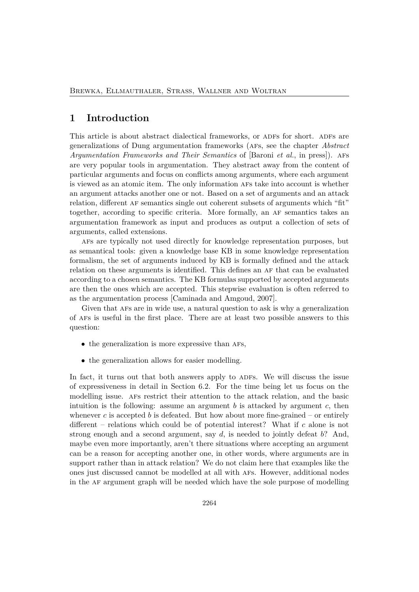### **1 Introduction**

This article is about abstract dialectical frameworks, or ADFs for short. ADFs are generalizations of Dung argumentation frameworks (afs, see the chapter *Abstract Argumentation Frameworks and Their Semantics* of [Baroni *et al.*, in press]). afs are very popular tools in argumentation. They abstract away from the content of particular arguments and focus on conflicts among arguments, where each argument is viewed as an atomic item. The only information afs take into account is whether an argument attacks another one or not. Based on a set of arguments and an attack relation, different af semantics single out coherent subsets of arguments which "fit" together, according to specific criteria. More formally, an af semantics takes an argumentation framework as input and produces as output a collection of sets of arguments, called extensions.

afs are typically not used directly for knowledge representation purposes, but as semantical tools: given a knowledge base KB in some knowledge representation formalism, the set of arguments induced by KB is formally defined and the attack relation on these arguments is identified. This defines an AF that can be evaluated according to a chosen semantics. The KB formulas supported by accepted arguments are then the ones which are accepted. This stepwise evaluation is often referred to as the argumentation process [Caminada and Amgoud, 2007].

Given that afs are in wide use, a natural question to ask is why a generalization of afs is useful in the first place. There are at least two possible answers to this question:

- the generalization is more expressive than AFs,
- the generalization allows for easier modelling.

In fact, it turns out that both answers apply to ADFs. We will discuss the issue of expressiveness in detail in Section 6.2. For the time being let us focus on the modelling issue. afs restrict their attention to the attack relation, and the basic intuition is the following: assume an argument *b* is attacked by argument *c*, then whenever  $c$  is accepted  $b$  is defeated. But how about more fine-grained – or entirely different – relations which could be of potential interest? What if *c* alone is not strong enough and a second argument, say *d*, is needed to jointly defeat *b*? And, maybe even more importantly, aren't there situations where accepting an argument can be a reason for accepting another one, in other words, where arguments are in support rather than in attack relation? We do not claim here that examples like the ones just discussed cannot be modelled at all with afs. However, additional nodes in the af argument graph will be needed which have the sole purpose of modelling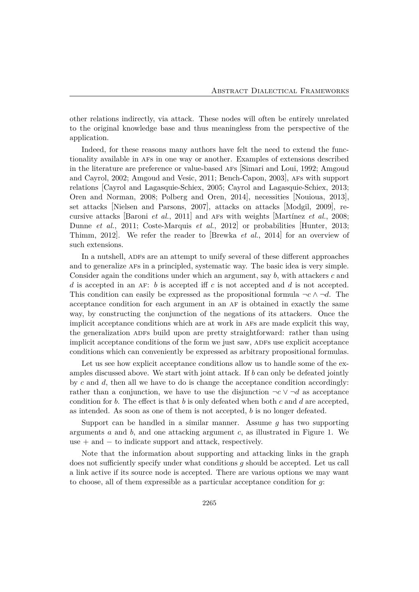other relations indirectly, via attack. These nodes will often be entirely unrelated to the original knowledge base and thus meaningless from the perspective of the application.

Indeed, for these reasons many authors have felt the need to extend the functionality available in afs in one way or another. Examples of extensions described in the literature are preference or value-based afs [Simari and Loui, 1992; Amgoud and Cayrol, 2002; Amgoud and Vesic, 2011; Bench-Capon, 2003], afs with support relations [Cayrol and Lagasquie-Schiex, 2005; Cayrol and Lagasquie-Schiex, 2013; Oren and Norman, 2008; Polberg and Oren, 2014], necessities [Nouioua, 2013], set attacks [Nielsen and Parsons, 2007], attacks on attacks [Modgil, 2009], recursive attacks [Baroni *et al.*, 2011] and afs with weights [Martínez *et al.*, 2008; Dunne *et al.*, 2011; Coste-Marquis *et al.*, 2012] or probabilities [Hunter, 2013; Thimm, 2012]. We refer the reader to [Brewka *et al.*, 2014] for an overview of such extensions.

In a nutshell, ADFs are an attempt to unify several of these different approaches and to generalize afs in a principled, systematic way. The basic idea is very simple. Consider again the conditions under which an argument, say *b*, with attackers *c* and *d* is accepted in an AF: *b* is accepted iff *c* is not accepted and *d* is not accepted. This condition can easily be expressed as the propositional formula  $\neg c \wedge \neg d$ . The acceptance condition for each argument in an AF is obtained in exactly the same way, by constructing the conjunction of the negations of its attackers. Once the implicit acceptance conditions which are at work in afs are made explicit this way, the generalization ADFs build upon are pretty straightforward: rather than using implicit acceptance conditions of the form we just saw, ADFs use explicit acceptance conditions which can conveniently be expressed as arbitrary propositional formulas.

Let us see how explicit acceptance conditions allow us to handle some of the examples discussed above. We start with joint attack. If *b* can only be defeated jointly by *c* and *d*, then all we have to do is change the acceptance condition accordingly: rather than a conjunction, we have to use the disjunction  $\neg c \vee \neg d$  as acceptance condition for *b*. The effect is that *b* is only defeated when both *c* and *d* are accepted, as intended. As soon as one of them is not accepted, *b* is no longer defeated.

Support can be handled in a similar manner. Assume *g* has two supporting arguments *a* and *b*, and one attacking argument *c*, as illustrated in Figure 1. We use  $+$  and  $-$  to indicate support and attack, respectively.

Note that the information about supporting and attacking links in the graph does not sufficiently specify under what conditions *g* should be accepted. Let us call a link active if its source node is accepted. There are various options we may want to choose, all of them expressible as a particular acceptance condition for *g*: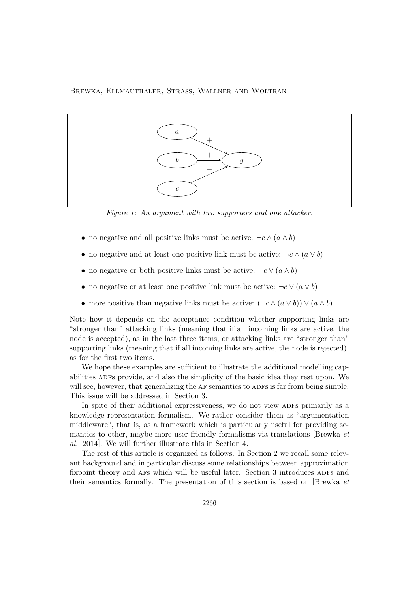

*Figure 1: An argument with two supporters and one attacker.*

- no negative and all positive links must be active:  $\neg c \wedge (a \wedge b)$
- no negative and at least one positive link must be active:  $\neg c \wedge (a \vee b)$
- no negative or both positive links must be active:  $\neg c \vee (a \wedge b)$
- no negative or at least one positive link must be active:  $\neg c \vee (a \vee b)$
- more positive than negative links must be active:  $(\neg c \land (a \lor b)) \lor (a \land b)$

Note how it depends on the acceptance condition whether supporting links are "stronger than" attacking links (meaning that if all incoming links are active, the node is accepted), as in the last three items, or attacking links are "stronger than" supporting links (meaning that if all incoming links are active, the node is rejected), as for the first two items.

We hope these examples are sufficient to illustrate the additional modelling capabilities ADFs provide, and also the simplicity of the basic idea they rest upon. We will see, however, that generalizing the AF semantics to ADFs is far from being simple. This issue will be addressed in Section 3.

In spite of their additional expressiveness, we do not view ADFs primarily as a knowledge representation formalism. We rather consider them as "argumentation middleware", that is, as a framework which is particularly useful for providing semantics to other, maybe more user-friendly formalisms via translations [Brewka *et al.*, 2014]. We will further illustrate this in Section 4.

The rest of this article is organized as follows. In Section 2 we recall some relevant background and in particular discuss some relationships between approximation fixpoint theory and AFs which will be useful later. Section 3 introduces ADFs and their semantics formally. The presentation of this section is based on [Brewka *et*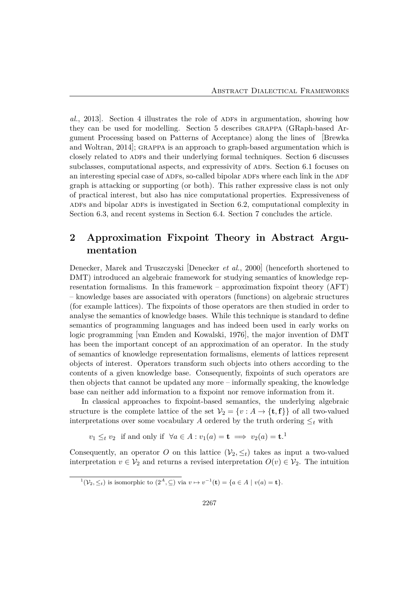*al.*, 2013]. Section 4 illustrates the role of adfs in argumentation, showing how they can be used for modelling. Section 5 describes grappa (GRaph-based Argument Processing based on Patterns of Acceptance) along the lines of [Brewka and Woltran, 2014]; GRAPPA is an approach to graph-based argumentation which is closely related to ADFs and their underlying formal techniques. Section 6 discusses subclasses, computational aspects, and expressivity of ADFs. Section 6.1 focuses on an interesting special case of ADFs, so-called bipolar ADFs where each link in the ADF graph is attacking or supporting (or both). This rather expressive class is not only of practical interest, but also has nice computational properties. Expressiveness of ADFs and bipolar ADFs is investigated in Section 6.2, computational complexity in Section 6.3, and recent systems in Section 6.4. Section 7 concludes the article.

## **2 Approximation Fixpoint Theory in Abstract Argumentation**

Denecker, Marek and Truszczyski [Denecker *et al.*, 2000] (henceforth shortened to DMT) introduced an algebraic framework for studying semantics of knowledge representation formalisms. In this framework – approximation fixpoint theory (AFT) – knowledge bases are associated with operators (functions) on algebraic structures (for example lattices). The fixpoints of those operators are then studied in order to analyse the semantics of knowledge bases. While this technique is standard to define semantics of programming languages and has indeed been used in early works on logic programming [van Emden and Kowalski, 1976], the major invention of DMT has been the important concept of an approximation of an operator. In the study of semantics of knowledge representation formalisms, elements of lattices represent objects of interest. Operators transform such objects into others according to the contents of a given knowledge base. Consequently, fixpoints of such operators are then objects that cannot be updated any more – informally speaking, the knowledge base can neither add information to a fixpoint nor remove information from it.

In classical approaches to fixpoint-based semantics, the underlying algebraic structure is the complete lattice of the set  $V_2 = \{v : A \rightarrow \{\mathbf{t}, \mathbf{f}\}\}\$  of all two-valued interpretations over some vocabulary *A* ordered by the truth ordering  $\leq_t$  with

 $v_1 \leq_t v_2$  if and only if  $\forall a \in A : v_1(a) = \mathbf{t} \implies v_2(a) = \mathbf{t}$ .<sup>1</sup>

Consequently, an operator *O* on this lattice  $(\mathcal{V}_2, \leq_t)$  takes as input a two-valued interpretation  $v \in V_2$  and returns a revised interpretation  $O(v) \in V_2$ . The intuition

 $\overline{1}(\mathcal{V}_2, \leq_t)$  is isomorphic to  $(2^A, \subseteq)$  via  $v \mapsto v^{-1}(\mathbf{t}) = \{a \in A \mid v(a) = \mathbf{t}\}.$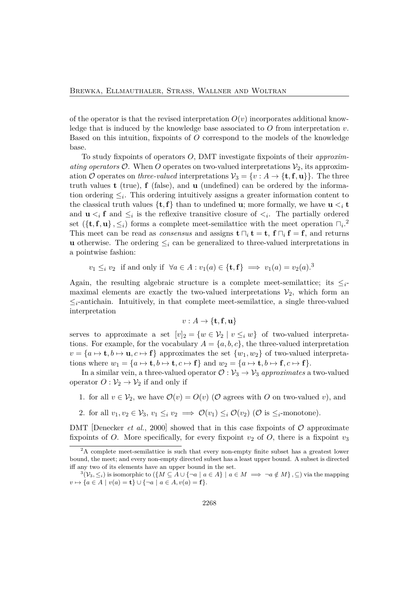of the operator is that the revised interpretation  $O(v)$  incorporates additional knowledge that is induced by the knowledge base associated to *O* from interpretation *v*. Based on this intuition, fixpoints of *O* correspond to the models of the knowledge base.

To study fixpoints of operators *O*, DMT investigate fixpoints of their *approximating operators*  $\mathcal{O}$ . When  $\overline{O}$  operates on two-valued interpretations  $\mathcal{V}_2$ , its approximation O operates on *three-valued* interpretations  $V_3 = \{v : A \rightarrow \{\mathbf{t}, \mathbf{f}, \mathbf{u}\}\}\.$  The three truth values **t** (true), **f** (false), and **u** (undefined) can be ordered by the information ordering  $\leq_i$ . This ordering intuitively assigns a greater information content to the classical truth values  $\{\mathbf{t}, \mathbf{f}\}\$  than to undefined **u**; more formally, we have **u**  $\leq_i \mathbf{t}$ and  $\mathbf{u} \leq_i \mathbf{f}$  and  $\leq_i$  is the reflexive transitive closure of  $\leq_i$ . The partially ordered set  $({\{\mathbf{t}, \mathbf{f}, \mathbf{u}\}\, , \leq_i})$  forms a complete meet-semilattice with the meet operation  $\Box_i$ <sup>2</sup> This meet can be read as *consensus* and assigns  $\mathbf{t} \sqcap_i \mathbf{t} = \mathbf{t}$ ,  $\mathbf{f} \sqcap_i \mathbf{f} = \mathbf{f}$ , and returns **u** otherwise. The ordering  $\leq_i$  can be generalized to three-valued interpretations in a pointwise fashion:

*v*<sub>1</sub> ≤*i v*<sub>2</sub> if and only if  $\forall a \in A : v_1(a) \in \{\mathbf{t}, \mathbf{f}\} \implies v_1(a) = v_2(a).$ <sup>3</sup>

Again, the resulting algebraic structure is a complete meet-semilattice; its  $\leq_i$ maximal elements are exactly the two-valued interpretations  $V_2$ , which form an  $\leq_i$ -antichain. Intuitively, in that complete meet-semilattice, a single three-valued interpretation

$$
v:A\to \{\mathbf{t},\mathbf{f},\mathbf{u}\}
$$

serves to approximate a set  $[v]_2 = \{w \in V_2 \mid v \leq_i w\}$  of two-valued interpretations. For example, for the vocabulary  $A = \{a, b, c\}$ , the three-valued interpretation  $v = \{a \mapsto \mathbf{t}, b \mapsto \mathbf{u}, c \mapsto \mathbf{f}\}\$ approximates the set  $\{w_1, w_2\}$  of two-valued interpretations where  $w_1 = \{a \mapsto \mathbf{t}, b \mapsto \mathbf{t}, c \mapsto \mathbf{f}\}\$  and  $w_2 = \{a \mapsto \mathbf{t}, b \mapsto \mathbf{f}, c \mapsto \mathbf{f}\}.$ 

In a similar vein, a three-valued operator  $\mathcal{O}: \mathcal{V}_3 \to \mathcal{V}_3$  *approximates* a two-valued operator  $O: \mathcal{V}_2 \to \mathcal{V}_2$  if and only if

1. for all  $v \in V_2$ , we have  $\mathcal{O}(v) = O(v)$  ( $\mathcal{O}$  agrees with  $O$  on two-valued *v*), and

2. for all  $v_1, v_2 \in V_3$ ,  $v_1 \leq_i v_2 \implies \mathcal{O}(v_1) \leq_i \mathcal{O}(v_2)$  ( $\mathcal{O}$  is  $\leq_i$ -monotone).

DMT Denecker *et al.*, 2000 showed that in this case fixpoints of  $\mathcal{O}$  approximate fixpoints of *O*. More specifically, for every fixpoint  $v_2$  of *O*, there is a fixpoint  $v_3$ 

 ${}^{2}$ A complete meet-semilattice is such that every non-empty finite subset has a greatest lower bound, the meet; and every non-empty directed subset has a least upper bound. A subset is directed iff any two of its elements have an upper bound in the set.

<sup>&</sup>lt;sup>3</sup> $(V_3, \leq_i)$  is isomorphic to  $({M \subseteq A \cup \{\neg a \mid a \in A\} \mid a \in M \implies \neg a \notin M}, \subseteq)$  via the mapping *v*  $\mapsto$  {*a* ∈ *A* | *v*(*a*) = **t**} ∪ {¬*a* | *a* ∈ *A*, *v*(*a*) = **f**}.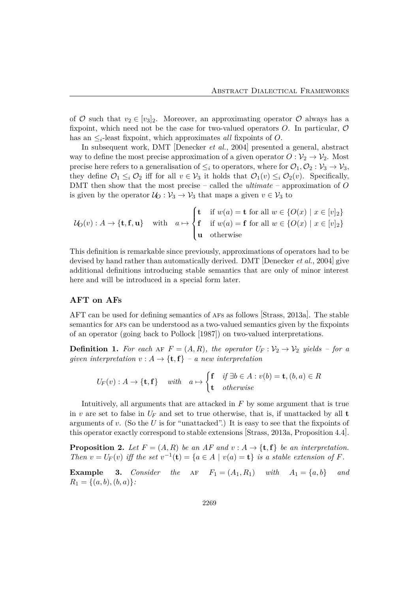of  $\mathcal O$  such that  $v_2 \in [v_3]_2$ . Moreover, an approximating operator  $\mathcal O$  always has a fixpoint, which need not be the case for two-valued operators *O*. In particular, O has an ≤*i*-least fixpoint, which approximates *all* fixpoints of *O*.

In subsequent work, DMT [Denecker *et al.*, 2004] presented a general, abstract way to define the most precise approximation of a given operator  $O: \mathcal{V}_2 \to \mathcal{V}_2$ . Most precise here refers to a generalisation of  $\leq_i$  to operators, where for  $\mathcal{O}_1, \mathcal{O}_2 : \mathcal{V}_3 \to \mathcal{V}_3$ , they define  $\mathcal{O}_1 \leq_i \mathcal{O}_2$  iff for all  $v \in \mathcal{V}_3$  it holds that  $\mathcal{O}_1(v) \leq_i \mathcal{O}_2(v)$ . Specifically, DMT then show that the most precise – called the *ultimate* – approximation of *O* is given by the operator  $U_0: V_3 \to V_3$  that maps a given  $v \in V_3$  to

$$
\mathcal{U}_O(v) : A \to \{\mathbf{t}, \mathbf{f}, \mathbf{u}\} \quad \text{with} \quad a \mapsto \begin{cases} \mathbf{t} & \text{if } w(a) = \mathbf{t} \text{ for all } w \in \{O(x) \mid x \in [v]_2\} \\ \mathbf{f} & \text{if } w(a) = \mathbf{f} \text{ for all } w \in \{O(x) \mid x \in [v]_2\} \\ \mathbf{u} & \text{otherwise} \end{cases}
$$

This definition is remarkable since previously, approximations of operators had to be devised by hand rather than automatically derived. DMT [Denecker *et al.*, 2004] give additional definitions introducing stable semantics that are only of minor interest here and will be introduced in a special form later.

#### **AFT on AFs**

AFT can be used for defining semantics of afs as follows [Strass, 2013a]. The stable semantics for afs can be understood as a two-valued semantics given by the fixpoints of an operator (going back to Pollock [1987]) on two-valued interpretations.

**Definition 1.** For each AF  $F = (A, R)$ , the operator  $U_F : \mathcal{V}_2 \to \mathcal{V}_2$  yields – for a *given interpretation*  $v : A \rightarrow \{\mathbf{t}, \mathbf{f}\}$  – a new interpretation

$$
U_F(v) : A \to \{\mathbf{t}, \mathbf{f}\} \quad \text{with} \quad a \mapsto \begin{cases} \mathbf{f} & \text{if } \exists b \in A : v(b) = \mathbf{t}, (b, a) \in R \\ \mathbf{t} & \text{otherwise} \end{cases}
$$

Intuitively, all arguments that are attacked in *F* by some argument that is true in *v* are set to false in  $U_F$  and set to true otherwise, that is, if unattacked by all **t** arguments of *v*. (So the *U* is for "unattacked".) It is easy to see that the fixpoints of this operator exactly correspond to stable extensions [Strass, 2013a, Proposition 4.4].

**Proposition 2.** Let  $F = (A, R)$  be an AF and  $v : A \rightarrow \{\mathbf{t}, \mathbf{f}\}\$  be an interpretation. *Then*  $v = U_F(v)$  *iff* the set  $v^{-1}(\mathbf{t}) = \{a \in A \mid v(a) = \mathbf{t}\}$  is a stable extension of *F.* 

**Example 3.** *Consider the*  $AF$   $F_1 = (A_1, R_1)$  *with*  $A_1 = \{a, b\}$  *and*  $R_1 = \{(a, b), (b, a)\}.$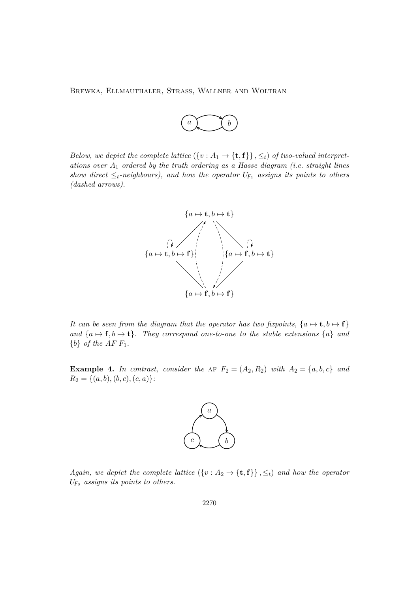

*Below, we depict the complete lattice*  $({v : A_1 \rightarrow {t, f}}), \leq_t$  *of two-valued interpretations over A*<sup>1</sup> *ordered by the truth ordering as a Hasse diagram (i.e. straight lines show direct*  $\leq_t$ *-neighbours), and how the operator*  $U_{F_1}$  *assigns its points to others (dashed arrows).*



*It can be seen from the diagram that the operator has two fixpoints,*  $\{a \mapsto t, b \mapsto f\}$ *and*  $\{a \mapsto f, b \mapsto t\}$ *. They correspond one-to-one to the stable extensions*  $\{a\}$  *and*  ${b}$  *of the AFF*<sub>1</sub>.

**Example 4.** In contrast, consider the AF  $F_2 = (A_2, R_2)$  with  $A_2 = \{a, b, c\}$  and  $R_2 = \{(a, b), (b, c), (c, a)\}.$ 



*Again, we depict the complete lattice*  $({v : A_2 \rightarrow {t, f}}), \leq_t$  *and how the operator UF*<sup>2</sup> *assigns its points to others.*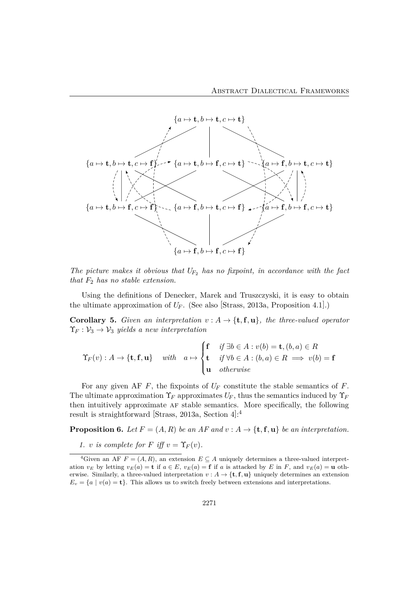

*The picture makes it obvious that UF*<sup>2</sup> *has no fixpoint, in accordance with the fact that F*<sup>2</sup> *has no stable extension.*

Using the definitions of Denecker, Marek and Truszczyski, it is easy to obtain the ultimate approximation of  $U_F$ . (See also [Strass, 2013a, Proposition 4.1].)

**Corollary 5.** *Given an interpretation*  $v : A \rightarrow \{t, f, u\}$ *, the three-valued operator*  $\Upsilon_F : \mathcal{V}_3 \to \mathcal{V}_3$  *yields a new interpretation* 

$$
\Upsilon_F(v) : A \to \{\mathbf{t}, \mathbf{f}, \mathbf{u}\} \quad \text{with} \quad a \mapsto \begin{cases} \mathbf{f} & \text{if } \exists b \in A : v(b) = \mathbf{t}, (b, a) \in R \\ \mathbf{t} & \text{if } \forall b \in A : (b, a) \in R \implies v(b) = \mathbf{f} \\ \mathbf{u} & \text{otherwise} \end{cases}
$$

For any given AF *F*, the fixpoints of *U<sup>F</sup>* constitute the stable semantics of *F*. The ultimate approximation  $\Upsilon_F$  approximates  $U_F$ , thus the semantics induced by  $\Upsilon_F$ then intuitively approximate af stable semantics. More specifically, the following result is straightforward [Strass, 2013a, Section 4]: 4

**Proposition 6.** *Let*  $F = (A, R)$  *be an AF and*  $v : A \rightarrow \{t, f, u\}$  *be an interpretation.* 

*1. v is complete for F iff*  $v = \Upsilon_F(v)$ *.* 

<sup>&</sup>lt;sup>4</sup>Given an AF  $F = (A, R)$ , an extension  $E \subseteq A$  uniquely determines a three-valued interpretation  $v_E$  by letting  $v_E(a) = \mathbf{t}$  if  $a \in E$ ,  $v_E(a) = \mathbf{f}$  if a is attacked by E in F, and  $v_E(a) = \mathbf{u}$  otherwise. Similarly, a three-valued interpretation  $v : A \to \{\mathbf{t}, \mathbf{f}, \mathbf{u}\}\$  uniquely determines an extension  $E_v = \{a \mid v(a) = \mathbf{t}\}.$  This allows us to switch freely between extensions and interpretations.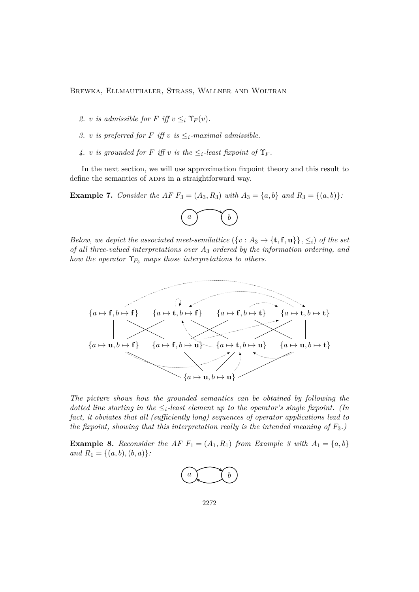- 2. *v is admissible for F iff*  $v \leq_i \Upsilon_F(v)$ .
- *3. v is preferred for F iff v is*  $\leq$ <sub>*i*</sub>-maximal admissible.
- *4. v is grounded for F iff v is the*  $\leq$ <sub>*i*</sub>-least fixpoint of  $\Upsilon_F$ *.*

In the next section, we will use approximation fixpoint theory and this result to define the semantics of ADFs in a straightforward way.

**Example 7.** *Consider the AF*  $F_3 = (A_3, R_3)$  *with*  $A_3 = \{a, b\}$  *and*  $R_3 = \{(a, b)\}$ *:* 



*Below, we depict the associated meet-semilattice*  $({v : A_3 \rightarrow {t, f, u}}), \leq_i$  *of the set of all three-valued interpretations over A*<sup>3</sup> *ordered by the information ordering, and how the operator*  $\Upsilon_{F_3}$  *maps those interpretations to others.* 



*The picture shows how the grounded semantics can be obtained by following the dotted line starting in the*  $\leq_i$ *-least element up to the operator's single fixpoint. (In fact, it obviates that all (sufficiently long) sequences of operator applications lead to the fixpoint, showing that this interpretation really is the intended meaning of*  $F_3$ .

**Example 8.** Reconsider the AF  $F_1 = (A_1, R_1)$  from Example 3 with  $A_1 = \{a, b\}$ *and*  $R_1 = \{(a, b), (b, a)\}$ *:* 

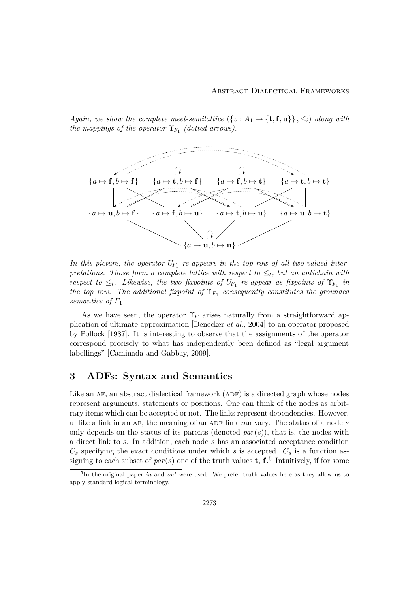*Again, we show the complete meet-semilattice*  $({v : A_1 \rightarrow {t, f, u}}), \leq_i$  *along with the mappings of the operator*  $\Upsilon_{F_1}$  *(dotted arrows).* 



In this picture, the operator  $U_{F_1}$  re-appears in the top row of all two-valued inter*pretations. Those form a complete lattice with respect to*  $\leq_t$ *, but an antichain with respect to*  $\leq_i$ *. Likewise, the two fixpoints of*  $U_{F_1}$  *re-appear as fixpoints of*  $\Upsilon_{F_1}$  *in the top row. The additional fixpoint of*  $\Upsilon_{F_1}$  *consequently constitutes the grounded semantics of F*1*.*

As we have seen, the operator  $\Upsilon_F$  arises naturally from a straightforward application of ultimate approximation [Denecker *et al.*, 2004] to an operator proposed by Pollock [1987]. It is interesting to observe that the assignments of the operator correspond precisely to what has independently been defined as "legal argument labellings" [Caminada and Gabbay, 2009].

### **3 ADFs: Syntax and Semantics**

Like an  $AF$ , an abstract dialectical framework ( $ADF$ ) is a directed graph whose nodes represent arguments, statements or positions. One can think of the nodes as arbitrary items which can be accepted or not. The links represent dependencies. However, unlike a link in an AF, the meaning of an ADF link can vary. The status of a node s only depends on the status of its parents (denoted  $par(s)$ ), that is, the nodes with a direct link to *s*. In addition, each node *s* has an associated acceptance condition  $C_s$  specifying the exact conditions under which *s* is accepted.  $C_s$  is a function assigning to each subset of  $par(s)$  one of the truth values **t**, **f**.<sup>5</sup> Intuitively, if for some

<sup>&</sup>lt;sup>5</sup>In the original paper *in* and *out* were used. We prefer truth values here as they allow us to apply standard logical terminology.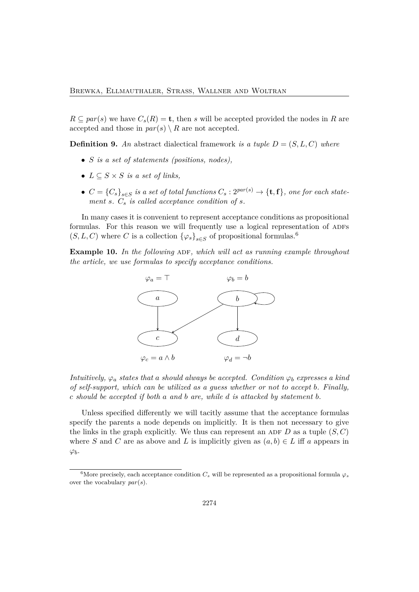$R \subseteq par(s)$  we have  $C_s(R) = \mathbf{t}$ , then *s* will be accepted provided the nodes in *R* are accepted and those in  $par(s) \setminus R$  are not accepted.

**Definition 9.** An abstract dialectical framework *is a tuple*  $D = (S, L, C)$  *where* 

- *S is a set of statements (positions, nodes),*
- $L \subseteq S \times S$  *is a set of links.*
- $C = {C_s}_{s \in S}$  *is a set of total functions*  $C_s : 2^{par(s)} \rightarrow {\textbf{t}, \textbf{f}}$ *, one for each statement s. C<sup>s</sup> is called acceptance condition of s.*

In many cases it is convenient to represent acceptance conditions as propositional formulas. For this reason we will frequently use a logical representation of ADFs  $(S, L, C)$  where *C* is a collection  $\{\varphi_s\}_{s \in S}$  of propositional formulas.<sup>6</sup>

**Example 10.** In the following ADF, which will act as running example throughout *the article, we use formulas to specify acceptance conditions.*



*Intuitively,*  $\varphi_a$  *states that a should always be accepted. Condition*  $\varphi_b$  *expresses a kind of self-support, which can be utilized as a guess whether or not to accept b. Finally, c should be accepted if both a and b are, while d is attacked by statement b.*

Unless specified differently we will tacitly assume that the acceptance formulas specify the parents a node depends on implicitly. It is then not necessary to give the links in the graph explicitly. We thus can represent an ADF  $D$  as a tuple  $(S, C)$ where *S* and *C* are as above and *L* is implicitly given as  $(a, b) \in L$  iff *a* appears in *φb*.

<sup>&</sup>lt;sup>6</sup>More precisely, each acceptance condition  $C_s$  will be represented as a propositional formula  $\varphi_s$ over the vocabulary *par*(*s*).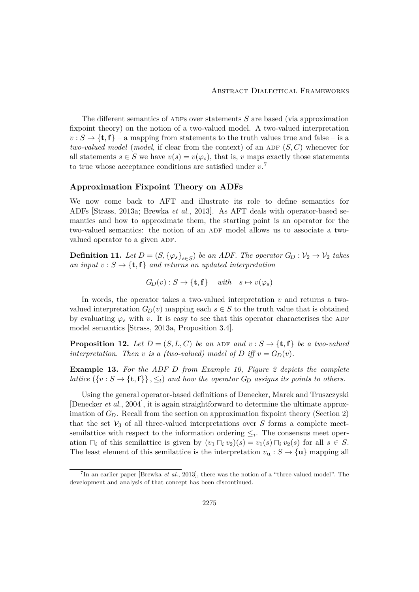The different semantics of ADFs over statements *S* are based (via approximation fixpoint theory) on the notion of a two-valued model. A two-valued interpretation  $v : S \to \{\mathbf{t}, \mathbf{f}\}$  – a mapping from statements to the truth values true and false – is a *two-valued model* (*model*, if clear from the context) of an ADF  $(S, C)$  whenever for all statements  $s \in S$  we have  $v(s) = v(\varphi_s)$ , that is, *v* maps exactly those statements to true whose acceptance conditions are satisfied under *v*. 7

#### **Approximation Fixpoint Theory on ADFs**

We now come back to AFT and illustrate its role to define semantics for ADFs [Strass, 2013a; Brewka *et al.*, 2013]. As AFT deals with operator-based semantics and how to approximate them, the starting point is an operator for the two-valued semantics: the notion of an ADF model allows us to associate a twovalued operator to a given ADF.

**Definition 11.** Let  $D = (S, \{\varphi_s\}_{s \in S})$  be an ADF. The operator  $G_D : \mathcal{V}_2 \to \mathcal{V}_2$  takes *an input*  $v : S \to \{\mathbf{t}, \mathbf{f}\}\$ and returns an updated interpretation

$$
G_D(v) : S \to \{\mathbf{t}, \mathbf{f}\} \quad \text{with} \quad s \mapsto v(\varphi_s)
$$

In words, the operator takes a two-valued interpretation *v* and returns a twovalued interpretation  $G_D(v)$  mapping each  $s \in S$  to the truth value that is obtained by evaluating  $\varphi_s$  with *v*. It is easy to see that this operator characterises the ADF model semantics [Strass, 2013a, Proposition 3.4].

**Proposition 12.** Let  $D = (S, L, C)$  be an ADF and  $v : S \rightarrow \{t, f\}$  be a two-valued *interpretation. Then v is a (two-valued) model of D iff*  $v = G_D(v)$ *.* 

**Example 13.** *For the ADF D from Example 10, Figure 2 depicts the complete lattice*  $({v : S \to \{t, f\}}), \leq_t$  *and how the operator*  $G_D$  *assigns its points to others.* 

Using the general operator-based definitions of Denecker, Marek and Truszczyski [Denecker *et al.*, 2004], it is again straightforward to determine the ultimate approximation of  $G_D$ . Recall from the section on approximation fixpoint theory (Section 2) that the set  $\mathcal{V}_3$  of all three-valued interpretations over *S* forms a complete meetsemilattice with respect to the information ordering  $\leq_i$ . The consensus meet operation  $\Box_i$  of this semilattice is given by  $(v_1 \Box_i v_2)(s) = v_1(s) \Box_i v_2(s)$  for all  $s \in S$ . The least element of this semilattice is the interpretation  $v_{\mathbf{u}} : S \to {\mathbf{u}}$  mapping all

<sup>&</sup>lt;sup>7</sup>In an earlier paper [Brewka *et al.*, 2013], there was the notion of a "three-valued model". The development and analysis of that concept has been discontinued.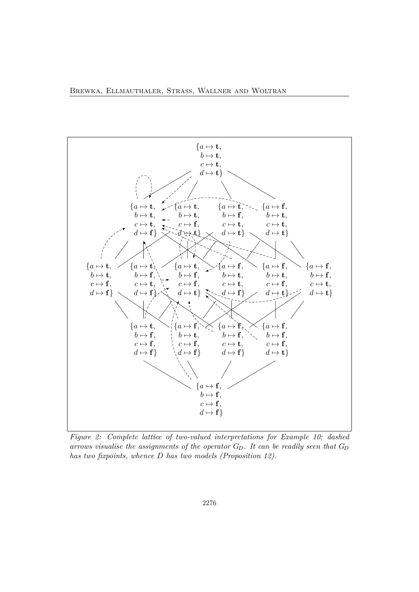

*Figure 2: Complete lattice of two-valued interpretations for Example 10; dashed arrows visualise the assignments of the operator GD. It can be readily seen that G<sup>D</sup> has two fixpoints, whence D has two models (Proposition 12).*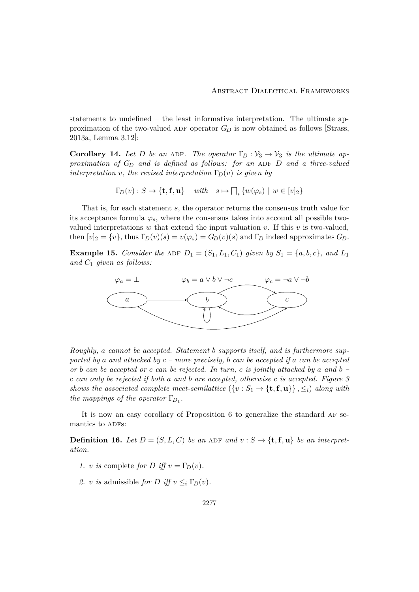statements to undefined – the least informative interpretation. The ultimate approximation of the two-valued ADF operator  $G_D$  is now obtained as follows [Strass, 2013a, Lemma 3.12]:

**Corollary 14.** Let D be an ADF. The operator  $\Gamma_D : \mathcal{V}_3 \to \mathcal{V}_3$  is the ultimate ap*proximation of*  $G_D$  *and is defined as follows: for an ADF D and a three-valued interpretation v, the revised interpretation*  $\Gamma_D(v)$  *is given by* 

 $\Gamma_D(v) : S \to \{\mathbf{t}, \mathbf{f}, \mathbf{u}\}$  *with*  $s \mapsto \prod_i \{w(\varphi_s) \mid w \in [v]_2\}$ 

That is, for each statement *s*, the operator returns the consensus truth value for its acceptance formula  $\varphi_s$ , where the consensus takes into account all possible twovalued interpretations  $w$  that extend the input valuation  $v$ . If this  $v$  is two-valued, then  $[v]_2 = \{v\}$ , thus  $\Gamma_D(v)(s) = v(\varphi_s) = G_D(v)(s)$  and  $\Gamma_D$  indeed approximates  $G_D$ .

**Example 15.** *Consider the* ADF  $D_1 = (S_1, L_1, C_1)$  *given by*  $S_1 = \{a, b, c\}$ *, and*  $L_1$ *and C*<sup>1</sup> *given as follows:*



*Roughly, a cannot be accepted. Statement b supports itself, and is furthermore supported by a and attacked by c – more precisely, b can be accepted if a can be accepted or b can be accepted or c can be rejected. In turn, c is jointly attacked by a and b – c can only be rejected if both a and b are accepted, otherwise c is accepted. Figure 3 shows the associated complete meet-semilattice*  $({v : S_1 \rightarrow {t, f, u}}), \leq_i$  *along with the mappings of the operator*  $\Gamma_{D_1}$ *.* 

It is now an easy corollary of Proposition 6 to generalize the standard af semantics to ADFs:

**Definition 16.** Let  $D = (S, L, C)$  be an ADF and  $v : S \rightarrow \{t, f, u\}$  be an interpret*ation.*

- *1. v is* complete *for D iff*  $v = \Gamma_D(v)$ *.*
- 2. *v is* admissible *for D iff*  $v \leq_i \Gamma_D(v)$ .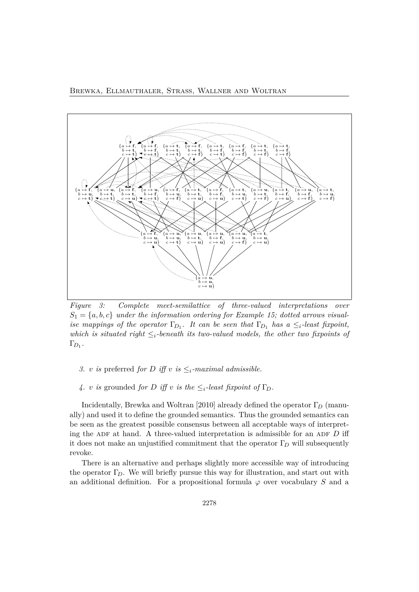Brewka, Ellmauthaler, Strass, Wallner and Woltran



*Figure 3: Complete meet-semilattice of three-valued interpretations over*  $S_1 = \{a, b, c\}$  *under the information ordering for Example 15; dotted arrows visualise mappings of the operator*  $\Gamma_{D_1}$ *. It can be seen that*  $\Gamma_{D_1}$  *has a*  $\leq_i$ *-least fixpoint, which is situated right*  $\leq_i$ *-beneath its two-valued models, the other two fixpoints of*  $\Gamma_{D_1}$ .

- *3. v is* preferred *for D iff v is*  $\leq_i$ *-maximal admissible.*
- *4. v is* grounded *for D iff v is the*  $\leq_i$ *-least fixpoint of*  $\Gamma_D$ *.*

Incidentally, Brewka and Woltran [2010] already defined the operator Γ*<sup>D</sup>* (manually) and used it to define the grounded semantics. Thus the grounded semantics can be seen as the greatest possible consensus between all acceptable ways of interpreting the ADF at hand. A three-valued interpretation is admissible for an ADF  $D$  iff it does not make an unjustified commitment that the operator Γ*<sup>D</sup>* will subsequently revoke.

There is an alternative and perhaps slightly more accessible way of introducing the operator Γ*D*. We will briefly pursue this way for illustration, and start out with an additional definition. For a propositional formula  $\varphi$  over vocabulary *S* and a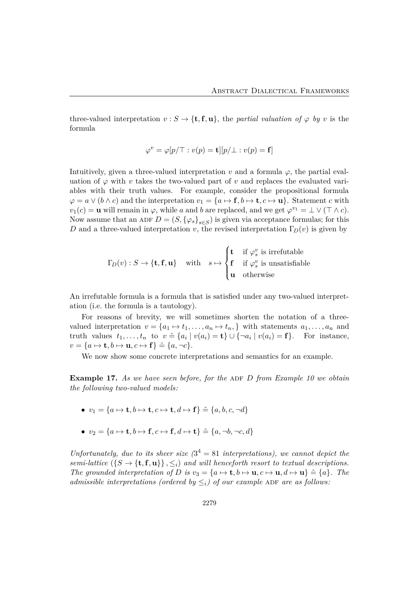three-valued interpretation  $v : S \to \{\mathbf{t}, \mathbf{f}, \mathbf{u}\}\)$ , the *partial valuation of*  $\varphi$  *by v* is the formula

$$
\varphi^v = \varphi[p/\top : v(p) = \mathbf{t}][p/\bot : v(p) = \mathbf{f}]
$$

Intuitively, given a three-valued interpretation  $v$  and a formula  $\varphi$ , the partial evaluation of  $\varphi$  with *v* takes the two-valued part of *v* and replaces the evaluated variables with their truth values. For example, consider the propositional formula  $\varphi = a \vee (b \wedge c)$  and the interpretation  $v_1 = \{a \mapsto f, b \mapsto t, c \mapsto u\}$ . Statement *c* with  $v_1(c) = \mathbf{u}$  will remain in  $\varphi$ , while *a* and *b* are replaced, and we get  $\varphi^{v_1} = \bot \vee (\top \wedge c)$ . Now assume that an ADF  $D = (S, {\varphi_s}_{s \in S})$  is given via acceptance formulas; for this *D* and a three-valued interpretation *v*, the revised interpretation  $\Gamma_D(v)$  is given by

$$
\Gamma_D(v) : S \to \{\mathbf{t}, \mathbf{f}, \mathbf{u}\} \quad \text{with} \quad s \mapsto \begin{cases} \mathbf{t} & \text{if } \varphi_s^v \text{ is irrefutable} \\ \mathbf{f} & \text{if } \varphi_s^v \text{ is unsatisfiable} \\ \mathbf{u} & \text{otherwise} \end{cases}
$$

An irrefutable formula is a formula that is satisfied under any two-valued interpretation (i.e. the formula is a tautology).

For reasons of brevity, we will sometimes shorten the notation of a threevalued interpretation  $v = \{a_1 \mapsto t_1, \ldots, a_n \mapsto t_n, \}$  with statements  $a_1, \ldots, a_n$  and truth values  $t_1, \ldots, t_n$  to  $v \triangleq \{a_i \mid v(a_i) = \mathbf{t}\} \cup \{\neg a_i \mid v(a_i) = \mathbf{f}\}.$  For instance,  $v = \{a \mapsto \mathbf{t}, b \mapsto \mathbf{u}, c \mapsto \mathbf{f}\}\triangleq \{a, \neg c\}.$ 

We now show some concrete interpretations and semantics for an example.

**Example 17.** As we have seen before, for the ADF D from Example 10 we obtain *the following two-valued models:*

- $v_1 = \{a \mapsto \mathbf{t}, b \mapsto \mathbf{t}, c \mapsto \mathbf{t}, d \mapsto \mathbf{f}\}\triangleq \{a, b, c, \neg d\}$
- $v_2 = \{a \mapsto \mathbf{t}, b \mapsto \mathbf{f}, c \mapsto \mathbf{f}, d \mapsto \mathbf{t}\} \triangleq \{a, \neg b, \neg c, d\}$

*Unfortunately, due to its sheer size*  $(3^4 = 81$  *interpretations), we cannot depict the semi-lattice*  $({S \rightarrow \{t, f, u\}} , \leq_i)$  *and will henceforth resort to textual descriptions. The grounded interpretation of D is*  $v_3 = \{a \mapsto \mathbf{t}, b \mapsto \mathbf{u}, c \mapsto \mathbf{u}, d \mapsto \mathbf{u}\} \triangleq \{a\}$ *. The admissible interpretations (ordered by*  $\leq_i$ ) *of our example* ADF *are as follows:*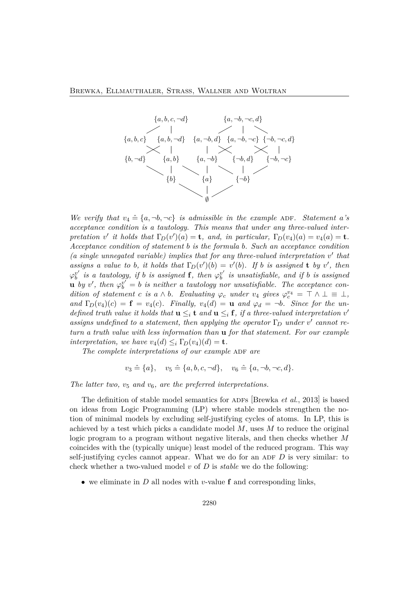

*We verify that*  $v_4 \triangleq \{a, \neg b, \neg c\}$  *is admissible in the example* ADF. Statement *a*'s *acceptance condition is a tautology. This means that under any three-valued interpretation v' it holds that*  $\Gamma_D(v')(a) = \mathbf{t}$ *, and, in particular,*  $\Gamma_D(v_4)(a) = v_4(a) = \mathbf{t}$ *. Acceptance condition of statement b is the formula b. Such an acceptance condition (a single unnegated variable) implies that for any three-valued interpretation v*′ *that assigns a value to b, it holds that*  $\Gamma_D(v')(b) = v'(b)$ *. If b is assigned* **t** *by v'*, *then*  $\varphi_b^{v'}$  *is a tautology, if b is assigned* **f***, then*  $\varphi_b^{v'}$  *is unsatisfiable, and if b is assigned* **u** *by*  $v'$ , then  $\varphi_b^{v'} = b$  *is neither a tautology nor unsatisfiable. The acceptance condition of statement c is a*  $\wedge$  *b. Evaluating*  $\varphi_c$  *under v*<sub>4</sub> *gives*  $\varphi_c^{v_4} = \top \wedge \bot \equiv \bot$ , *and*  $\Gamma_D(v_4)(c) = \mathbf{f} = v_4(c)$ *. Finally,*  $v_4(d) = \mathbf{u}$  *and*  $\varphi_d = \neg b$ *. Since for the undefined truth value it holds that*  $\mathbf{u} \leq_i \mathbf{t}$  *and*  $\mathbf{u} \leq_i \mathbf{f}$ *, if a three-valued interpretation*  $v'$ *assigns undefined to a statement, then applying the operator*  $\Gamma_D$  *under*  $v'$  *cannot* re*turn a truth value with less information than* **u** *for that statement. For our example interpretation, we have*  $v_4(d) \leq_i \Gamma_D(v_4)(d) = \mathbf{t}$ .

*The complete interpretations of our example* ADF *are* 

$$
v_3 \triangleq \{a\}, v_5 \triangleq \{a, b, c, \neg d\}, v_6 \triangleq \{a, \neg b, \neg c, d\}.
$$

The latter two,  $v_5$  and  $v_6$ , are the preferred interpretations.

The definition of stable model semantics for ADFs [Brewka *et al.*, 2013] is based on ideas from Logic Programming (LP) where stable models strengthen the notion of minimal models by excluding self-justifying cycles of atoms. In LP, this is achieved by a test which picks a candidate model *M*, uses *M* to reduce the original logic program to a program without negative literals, and then checks whether *M* coincides with the (typically unique) least model of the reduced program. This way self-justifying cycles cannot appear. What we do for an ADF  $D$  is very similar: to check whether a two-valued model *v* of *D* is *stable* we do the following:

• we eliminate in *D* all nodes with *v*-value **f** and corresponding links,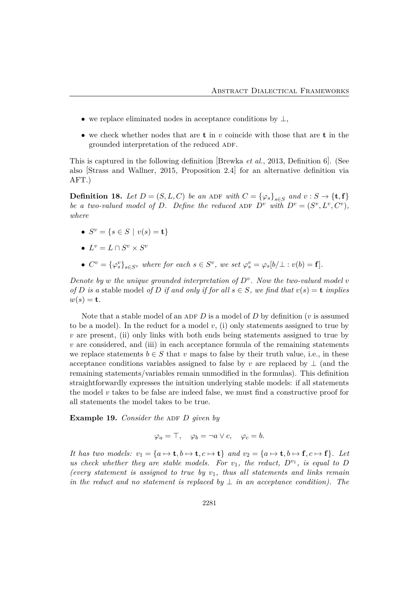- we replace eliminated nodes in acceptance conditions by  $\perp$ ,
- we check whether nodes that are **t** in *v* coincide with those that are **t** in the grounded interpretation of the reduced ADF.

This is captured in the following definition [Brewka *et al.*, 2013, Definition 6]. (See also [Strass and Wallner, 2015, Proposition 2.4] for an alternative definition via AFT.)

**Definition 18.** *Let*  $D = (S, L, C)$  *be an* ADF *with*  $C = {\varphi_s}_{s \in S}$  *and*  $v : S \to {\textbf{t}, \textbf{f}}$ *be a two-valued model of D.* Define the reduced ADF  $D^v$  with  $D^v = (S^v, L^v, C^v)$ , *where*

- $S^v = \{ s \in S \mid v(s) = t \}$
- $L^v = L \cap S^v \times S^v$
- $C^v = {\{\varphi_s^v\}}_{s \in S^v}$  where for each  $s \in S^v$ , we set  $\varphi_s^v = \varphi_s[b/\bot : v(b) = \mathbf{f}].$

*Denote by w the unique grounded interpretation of*  $D^v$ *. Now the two-valued model v of D is a* stable model *of D if and only if for all*  $s \in S$ *, we find that*  $v(s) = \mathbf{t}$  *implies*  $w(s) = \mathbf{t}$ .

Note that a stable model of an ADF  $D$  is a model of  $D$  by definition ( $v$  is assumed to be a model). In the reduct for a model  $v$ , (i) only statements assigned to true by *v* are present, (ii) only links with both ends being statements assigned to true by *v* are considered, and (iii) in each acceptance formula of the remaining statements we replace statements  $b \in S$  that  $v$  maps to false by their truth value, i.e., in these acceptance conditions variables assigned to false by *v* are replaced by  $\perp$  (and the remaining statements/variables remain unmodified in the formulas). This definition straightforwardly expresses the intuition underlying stable models: if all statements the model *v* takes to be false are indeed false, we must find a constructive proof for all statements the model takes to be true.

**Example 19.** *Consider the ADF D given by* 

$$
\varphi_a = \top, \quad \varphi_b = \neg a \lor c, \quad \varphi_c = b.
$$

*It has two models:*  $v_1 = \{a \mapsto \mathbf{t}, b \mapsto \mathbf{t}, c \mapsto \mathbf{t}\}$  *and*  $v_2 = \{a \mapsto \mathbf{t}, b \mapsto \mathbf{f}, c \mapsto \mathbf{f}\}$ *. Let us check whether they are stable models. For*  $v_1$ *, the reduct,*  $D^{v_1}$ *, is equal to*  $D$ *(every statement is assigned to true by v*1*, thus all statements and links remain in the reduct and no statement is replaced by*  $\perp$  *in an acceptance condition). The*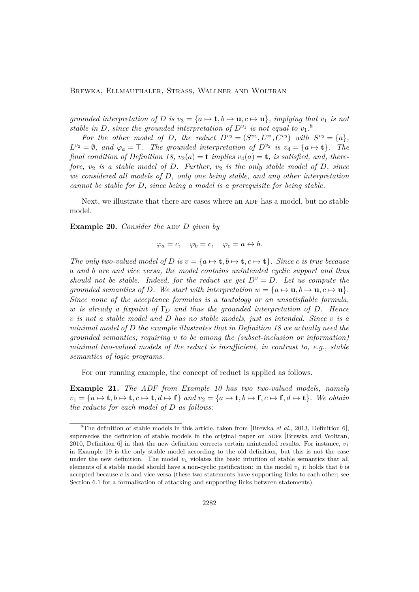*grounded interpretation of D is*  $v_3 = \{a \mapsto \mathbf{t}, b \mapsto \mathbf{u}, c \mapsto \mathbf{u}\}$ *, implying that*  $v_1$  *is not stable in D, since the grounded interpretation of*  $D^{v_1}$  *is not equal to*  $v_1$ <sup>8</sup>

*For the other model of D, the reduct*  $D^{v_2} = (S^{v_2}, L^{v_2}, C^{v_2})$  *with*  $S^{v_2} = \{a\}$ *,*  $L^{v_2} = \emptyset$ , and  $\varphi_a = \top$ . The grounded interpretation of  $D^{v_2}$  is  $v_4 = \{a \mapsto t\}$ . The *final condition of Definition 18,*  $v_2(a) = \mathbf{t}$  *implies*  $v_4(a) = \mathbf{t}$ *, is satisfied, and, therefore, v*<sup>2</sup> *is a stable model of D. Further, v*<sup>2</sup> *is the only stable model of D, since we considered all models of D, only one being stable, and any other interpretation cannot be stable for D, since being a model is a prerequisite for being stable.*

Next, we illustrate that there are cases where an ADF has a model, but no stable model.

**Example 20.** *Consider the ADF D given by* 

$$
\varphi_a = c, \quad \varphi_b = c, \quad \varphi_c = a \leftrightarrow b.
$$

*The only two-valued model of D is*  $v = \{a \mapsto t, b \mapsto t, c \mapsto t\}$ *. Since c is true because a and b are and vice versa, the model contains unintended cyclic support and thus should not be stable. Indeed, for the reduct we get*  $D^v = D$ *. Let us compute the grounded semantics of D. We start with interpretation*  $w = \{a \mapsto \mathbf{u}, b \mapsto \mathbf{u}, c \mapsto \mathbf{u}\}.$ *Since none of the acceptance formulas is a tautology or an unsatisfiable formula, w is already a fixpoint of* Γ*<sup>D</sup> and thus the grounded interpretation of D. Hence v is not a stable model and D has no stable models, just as intended. Since v is a minimal model of D the example illustrates that in Definition 18 we actually need the grounded semantics; requiring v to be among the (subset-inclusion or information) minimal two-valued models of the reduct is insufficient, in contrast to, e.g., stable semantics of logic programs.*

For our running example, the concept of reduct is applied as follows.

**Example 21.** *The ADF from Example 10 has two two-valued models, namely*  $v_1 = \{a \mapsto t, b \mapsto t, c \mapsto t, d \mapsto f\}$  and  $v_2 = \{a \mapsto t, b \mapsto f, c \mapsto f, d \mapsto t\}$ . We obtain *the reducts for each model of D as follows:*

<sup>8</sup>The definition of stable models in this article, taken from [Brewka *et al.*, 2013, Definition 6], supersedes the definition of stable models in the original paper on ADFs [Brewka and Woltran, 2010, Definition 6] in that the new definition corrects certain unintended results. For instance, *v*<sup>1</sup> in Example 19 is the only stable model according to the old definition, but this is not the case under the new definition. The model  $v_1$  violates the basic intuition of stable semantics that all elements of a stable model should have a non-cyclic justification: in the model  $v_1$  it holds that *b* is accepted because *c* is and vice versa (these two statements have supporting links to each other; see Section 6.1 for a formalization of attacking and supporting links between statements).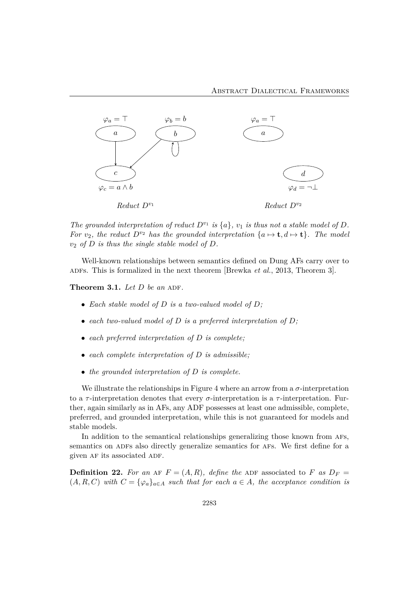

The grounded interpretation of reduct  $D^{v_1}$  is  $\{a\}$ ,  $v_1$  is thus not a stable model of  $D$ . *For*  $v_2$ *, the reduct*  $D^{v_2}$  *has the grounded interpretation*  $\{a \mapsto \mathbf{t}, d \mapsto \mathbf{t}\}$ *. The model v*<sup>2</sup> *of D is thus the single stable model of D.*

Well-known relationships between semantics defined on Dung AFs carry over to ADFS. This is formalized in the next theorem [Brewka *et al.*, 2013, Theorem 3].

**Theorem 3.1.** *Let D be an* ADF.

- *Each stable model of D is a two-valued model of D;*
- *each two-valued model of D is a preferred interpretation of D;*
- *each preferred interpretation of D is complete;*
- *each complete interpretation of D is admissible;*
- *the grounded interpretation of D is complete.*

We illustrate the relationships in Figure 4 where an arrow from a  $\sigma$ -interpretation to a *τ* -interpretation denotes that every *σ*-interpretation is a *τ* -interpretation. Further, again similarly as in AFs, any ADF possesses at least one admissible, complete, preferred, and grounded interpretation, while this is not guaranteed for models and stable models.

In addition to the semantical relationships generalizing those known from afs, semantics on ADFs also directly generalize semantics for AFs. We first define for a given AF its associated ADF.

**Definition 22.** For an AF  $F = (A, R)$ , define the ADF associated to *F as*  $D_F =$  $(A, R, C)$  with  $C = {\varphi_a}_{a \in A}$  such that for each  $a \in A$ , the acceptance condition is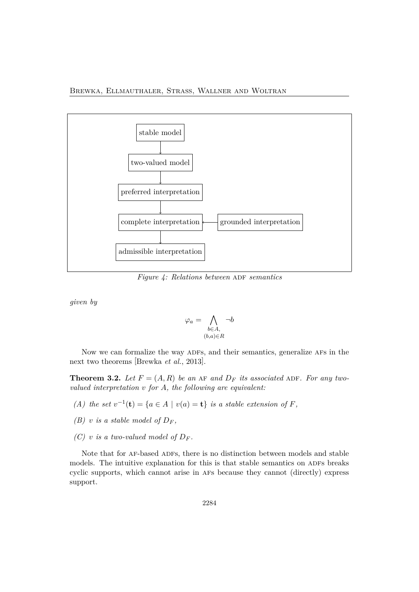

*Figure 4: Relations between* ADF *semantics* 

*given by*

$$
\varphi_a = \bigwedge_{\substack{b \in A, \\ (b,a) \in R}} \neg b
$$

Now we can formalize the way ADFs, and their semantics, generalize AFs in the next two theorems [Brewka *et al.*, 2013].

**Theorem 3.2.** Let  $F = (A, R)$  be an AF and  $D_F$  its associated ADF. For any two*valued interpretation v for A, the following are equivalent:*

- *(A)* the set  $v^{-1}$ (**t**) = { $a \in A \mid v(a) =$ **t**} *is a stable extension of F,*
- *(B) v is a stable model of*  $D_F$ ,
- *(C) v is a two-valued model of*  $D_F$ .

Note that for AF-based ADFs, there is no distinction between models and stable models. The intuitive explanation for this is that stable semantics on ADFs breaks cyclic supports, which cannot arise in afs because they cannot (directly) express support.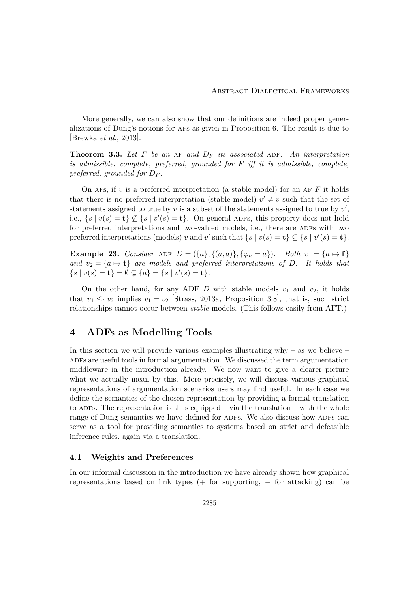More generally, we can also show that our definitions are indeed proper generalizations of Dung's notions for afs as given in Proposition 6. The result is due to [Brewka *et al.*, 2013].

**Theorem 3.3.** Let  $F$  be an AF and  $D_F$  its associated ADF. An interpretation *is admissible, complete, preferred, grounded for F iff it is admissible, complete, preferred, grounded for D<sup>F</sup> .*

On AFs, if  $v$  is a preferred interpretation (a stable model) for an AF  $F$  it holds that there is no preferred interpretation (stable model)  $v' \neq v$  such that the set of statements assigned to true by *v* is a subset of the statements assigned to true by *v*′ , i.e.,  $\{s \mid v(s) = \mathbf{t}\}\nsubseteq \{s \mid v'(s) = \mathbf{t}\}\)$ . On general ADFs, this property does not hold for preferred interpretations and two-valued models, i.e., there are ADFs with two preferred interpretations (models) *v* and *v'* such that  $\{s \mid v(s) = \mathbf{t}\} \subseteq \{s \mid v'(s) = \mathbf{t}\}.$ 

**Example 23.** *Consider* ADF  $D = (\{a\}, \{(a, a)\}, \{\varphi_a = a\})$ *. Both*  $v_1 = \{a \mapsto f\}$ *and*  $v_2 = \{a \mapsto t\}$  *are models and preferred interpretations of D. It holds that*  ${s \mid v(s) = \mathbf{t}} = \emptyset \subsetneq {a} = {s \mid v'(s) = \mathbf{t}}.$ 

On the other hand, for any ADF *D* with stable models  $v_1$  and  $v_2$ , it holds that  $v_1 \leq_t v_2$  implies  $v_1 = v_2$  [Strass, 2013a, Proposition 3.8], that is, such strict relationships cannot occur between *stable* models. (This follows easily from AFT.)

### **4 ADFs as Modelling Tools**

In this section we will provide various examples illustrating why – as we believe – ADFs are useful tools in formal argumentation. We discussed the term argumentation middleware in the introduction already. We now want to give a clearer picture what we actually mean by this. More precisely, we will discuss various graphical representations of argumentation scenarios users may find useful. In each case we define the semantics of the chosen representation by providing a formal translation to ADFs. The representation is thus equipped – via the translation – with the whole range of Dung semantics we have defined for ADFs. We also discuss how ADFs can serve as a tool for providing semantics to systems based on strict and defeasible inference rules, again via a translation.

#### **4.1 Weights and Preferences**

In our informal discussion in the introduction we have already shown how graphical representations based on link types  $(+)$  for supporting,  $-$  for attacking) can be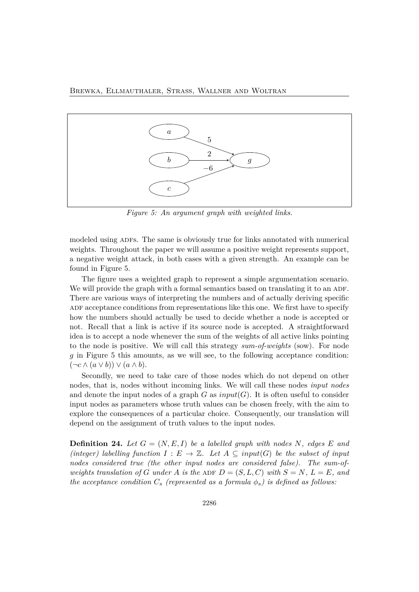

*Figure 5: An argument graph with weighted links.*

modeled using ADFs. The same is obviously true for links annotated with numerical weights. Throughout the paper we will assume a positive weight represents support, a negative weight attack, in both cases with a given strength. An example can be found in Figure 5.

The figure uses a weighted graph to represent a simple argumentation scenario. We will provide the graph with a formal semantics based on translating it to an ADF. There are various ways of interpreting the numbers and of actually deriving specific ADF acceptance conditions from representations like this one. We first have to specify how the numbers should actually be used to decide whether a node is accepted or not. Recall that a link is active if its source node is accepted. A straightforward idea is to accept a node whenever the sum of the weights of all active links pointing to the node is positive. We will call this strategy *sum-of-weights* (sow). For node *g* in Figure 5 this amounts, as we will see, to the following acceptance condition:  $(\neg c \land (a \lor b)) \lor (a \land b).$ 

Secondly, we need to take care of those nodes which do not depend on other nodes, that is, nodes without incoming links. We will call these nodes *input nodes* and denote the input nodes of a graph  $G$  as  $input(G)$ . It is often useful to consider input nodes as parameters whose truth values can be chosen freely, with the aim to explore the consequences of a particular choice. Consequently, our translation will depend on the assignment of truth values to the input nodes.

**Definition 24.** Let  $G = (N, E, I)$  be a labelled graph with nodes N, edges E and *(integer) labelling function*  $I: E \to \mathbb{Z}$ *. Let*  $A \subseteq input(G)$  *be the subset of input nodes considered true (the other input nodes are considered false). The sum-ofweights translation of G under A is the* ADF  $D = (S, L, C)$  *with*  $S = N$ ,  $L = E$ , and *the acceptance condition*  $C_s$  (represented as a formula  $\phi_s$ ) is defined as follows: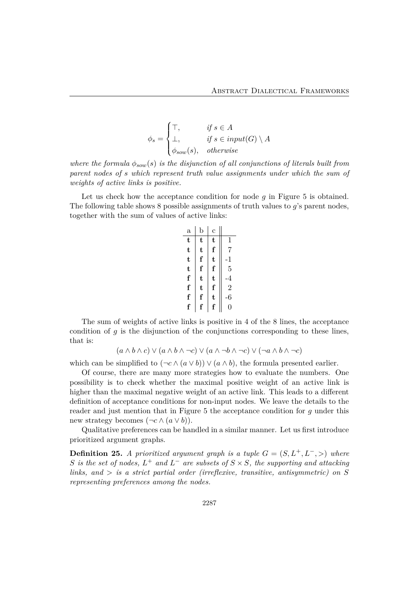$$
\phi_s = \begin{cases} \top, & \text{if } s \in A \\ \bot, & \text{if } s \in input(G) \setminus A \\ \phi_{sow}(s), & \text{otherwise} \end{cases}
$$

*where the formula*  $\phi_{sow}(s)$  *is the disjunction of all conjunctions of literals built from parent nodes of s which represent truth value assignments under which the sum of weights of active links is positive.*

Let us check how the acceptance condition for node *g* in Figure 5 is obtained. The following table shows 8 possible assignments of truth values to *g*'s parent nodes, together with the sum of values of active links:

| $\mathbf{a}$ | $_{\rm b}$ | Ċ |                |
|--------------|------------|---|----------------|
| t            | t          | t | $\mathbf{1}$   |
| t            | t          | f | $\overline{7}$ |
| t            | f          | t | -1             |
| t            | f          | f | $\overline{5}$ |
| f            | t          | t | .4             |
| f            | t          | f | $\overline{2}$ |
| f            | f          | t | 6              |
| $\mathbf f$  | f          | f | 0              |

The sum of weights of active links is positive in 4 of the 8 lines, the acceptance condition of *g* is the disjunction of the conjunctions corresponding to these lines, that is:

$$
(a \land b \land c) \lor (a \land b \land \neg c) \lor (a \land \neg b \land \neg c) \lor (\neg a \land b \land \neg c)
$$

which can be simplified to  $(\neg c \land (a \lor b)) \lor (a \land b)$ , the formula presented earlier.

Of course, there are many more strategies how to evaluate the numbers. One possibility is to check whether the maximal positive weight of an active link is higher than the maximal negative weight of an active link. This leads to a different definition of acceptance conditions for non-input nodes. We leave the details to the reader and just mention that in Figure 5 the acceptance condition for *g* under this new strategy becomes  $(\neg c \land (a \lor b)).$ 

Qualitative preferences can be handled in a similar manner. Let us first introduce prioritized argument graphs.

**Definition 25.** *A prioritized argument graph is a tuple*  $G = (S, L^+, L^-, >)$  *where S is the set of nodes,*  $L^+$  *and*  $L^-$  *are subsets of*  $S \times S$ *, the supporting and attacking links, and > is a strict partial order (irreflexive, transitive, antisymmetric) on S representing preferences among the nodes.*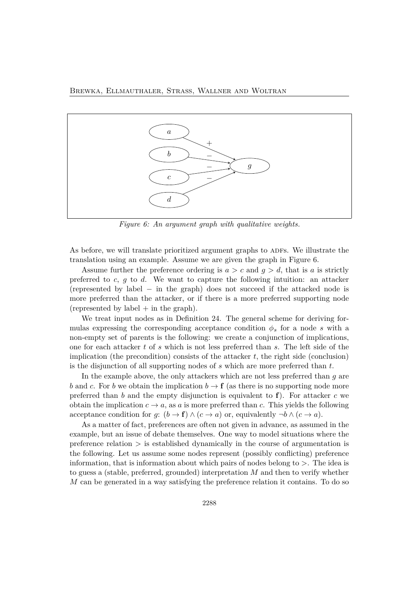

*Figure 6: An argument graph with qualitative weights.*

As before, we will translate prioritized argument graphs to ADFs. We illustrate the translation using an example. Assume we are given the graph in Figure 6.

Assume further the preference ordering is  $a > c$  and  $g > d$ , that is a is strictly preferred to *c*, *g* to *d*. We want to capture the following intuition: an attacker (represented by label − in the graph) does not succeed if the attacked node is more preferred than the attacker, or if there is a more preferred supporting node (represented by label  $+$  in the graph).

We treat input nodes as in Definition 24. The general scheme for deriving formulas expressing the corresponding acceptance condition  $\phi_s$  for a node *s* with a non-empty set of parents is the following: we create a conjunction of implications, one for each attacker *t* of *s* which is not less preferred than *s*. The left side of the implication (the precondition) consists of the attacker *t*, the right side (conclusion) is the disjunction of all supporting nodes of *s* which are more preferred than *t*.

In the example above, the only attackers which are not less preferred than *g* are *b* and *c*. For *b* we obtain the implication  $b \to \mathbf{f}$  (as there is no supporting node more preferred than *b* and the empty disjunction is equivalent to  $f$ ). For attacker *c* we obtain the implication  $c \to a$ , as *a* is more preferred than *c*. This yields the following acceptance condition for *g*:  $(b \to f) \land (c \to a)$  or, equivalently  $\neg b \land (c \to a)$ .

As a matter of fact, preferences are often not given in advance, as assumed in the example, but an issue of debate themselves. One way to model situations where the preference relation *>* is established dynamically in the course of argumentation is the following. Let us assume some nodes represent (possibly conflicting) preference information, that is information about which pairs of nodes belong to *>*. The idea is to guess a (stable, preferred, grounded) interpretation *M* and then to verify whether *M* can be generated in a way satisfying the preference relation it contains. To do so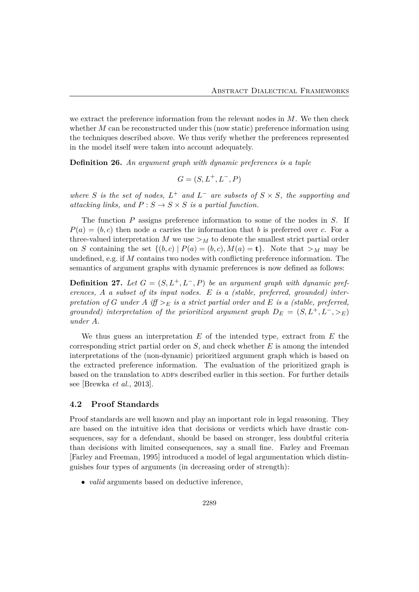we extract the preference information from the relevant nodes in *M*. We then check whether *M* can be reconstructed under this (now static) preference information using the techniques described above. We thus verify whether the preferences represented in the model itself were taken into account adequately.

**Definition 26.** *An argument graph with dynamic preferences is a tuple*

$$
G = (S, L^+, L^-, P)
$$

*where S is the set of nodes,*  $L^+$  *and*  $L^-$  *are subsets of*  $S \times S$ *, the supporting and attacking links, and*  $P: S \to S \times S$  *is a partial function.* 

The function *P* assigns preference information to some of the nodes in *S*. If  $P(a) = (b, c)$  then node *a* carries the information that *b* is preferred over *c*. For a three-valued interpretation  $M$  we use  $>$  $<sub>M</sub>$  to denote the smallest strict partial order</sub> on *S* containing the set  $\{(b, c) | P(a) = (b, c), M(a) = \mathbf{t}\}.$  Note that  $\geq_M$  may be undefined, e.g. if *M* contains two nodes with conflicting preference information. The semantics of argument graphs with dynamic preferences is now defined as follows:

**Definition 27.** Let  $G = (S, L^+, L^-, P)$  be an argument graph with dynamic pref*erences, A a subset of its input nodes. E is a (stable, preferred, grounded) interpretation of G under A iff*  $>$ *E is a strict partial order and E is a (stable, preferred, grounded) interpretation of the prioritized argument graph*  $D_E = (S, L^+, L^-, >_E)$ *under A.*

We thus guess an interpretation *E* of the intended type, extract from *E* the corresponding strict partial order on *S*, and check whether *E* is among the intended interpretations of the (non-dynamic) prioritized argument graph which is based on the extracted preference information. The evaluation of the prioritized graph is based on the translation to ADFs described earlier in this section. For further details see [Brewka *et al.*, 2013].

#### **4.2 Proof Standards**

Proof standards are well known and play an important role in legal reasoning. They are based on the intuitive idea that decisions or verdicts which have drastic consequences, say for a defendant, should be based on stronger, less doubtful criteria than decisions with limited consequences, say a small fine. Farley and Freeman [Farley and Freeman, 1995] introduced a model of legal argumentation which distinguishes four types of arguments (in decreasing order of strength):

• *valid* arguments based on deductive inference,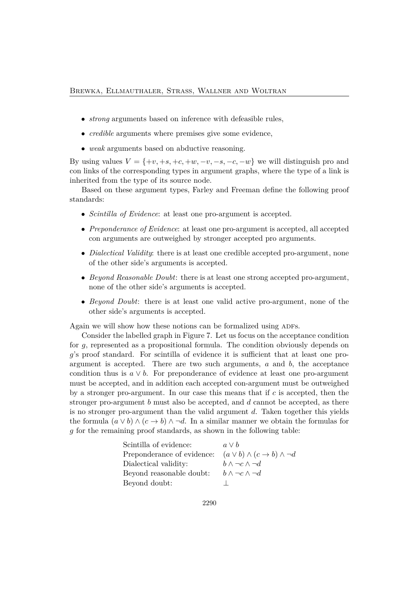- *strong* arguments based on inference with defeasible rules,
- *credible* arguments where premises give some evidence,
- *weak* arguments based on abductive reasoning.

By using values  $V = \{+v, +s, +c, +w, -v, -s, -c, -w\}$  we will distinguish pro and con links of the corresponding types in argument graphs, where the type of a link is inherited from the type of its source node.

Based on these argument types, Farley and Freeman define the following proof standards:

- *Scintilla of Evidence*: at least one pro-argument is accepted.
- *Preponderance of Evidence*: at least one pro-argument is accepted, all accepted con arguments are outweighed by stronger accepted pro arguments.
- *Dialectical Validity*: there is at least one credible accepted pro-argument, none of the other side's arguments is accepted.
- *Beyond Reasonable Doubt*: there is at least one strong accepted pro-argument, none of the other side's arguments is accepted.
- *Beyond Doubt*: there is at least one valid active pro-argument, none of the other side's arguments is accepted.

Again we will show how these notions can be formalized using ADFs.

Consider the labelled graph in Figure 7. Let us focus on the acceptance condition for *g*, represented as a propositional formula. The condition obviously depends on *g*'s proof standard. For scintilla of evidence it is sufficient that at least one proargument is accepted. There are two such arguments, *a* and *b*, the acceptance condition thus is  $a \vee b$ . For preponderance of evidence at least one pro-argument must be accepted, and in addition each accepted con-argument must be outweighed by a stronger pro-argument. In our case this means that if *c* is accepted, then the stronger pro-argument *b* must also be accepted, and *d* cannot be accepted, as there is no stronger pro-argument than the valid argument *d*. Taken together this yields the formula  $(a \vee b) \wedge (c \rightarrow b) \wedge \neg d$ . In a similar manner we obtain the formulas for *g* for the remaining proof standards, as shown in the following table:

| Scintilla of evidence:     | $a \vee b$                                          |
|----------------------------|-----------------------------------------------------|
| Preponderance of evidence: | $(a \vee b) \wedge (c \rightarrow b) \wedge \neg d$ |
| Dialectical validity:      | $b \wedge \neg c \wedge \neg d$                     |
| Beyond reasonable doubt:   | $b \wedge \neg c \wedge \neg d$                     |
| Beyond doubt:              |                                                     |
|                            |                                                     |

2290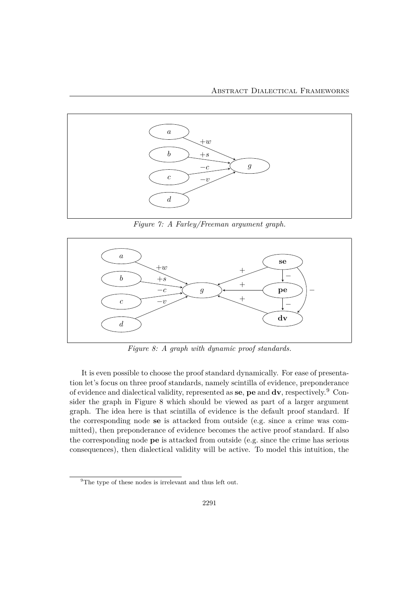

*Figure 7: A Farley/Freeman argument graph.*



*Figure 8: A graph with dynamic proof standards.*

It is even possible to choose the proof standard dynamically. For ease of presentation let's focus on three proof standards, namely scintilla of evidence, preponderance of evidence and dialectical validity, represented as **se**, **pe** and **dv**, respectively.<sup>9</sup> Consider the graph in Figure 8 which should be viewed as part of a larger argument graph. The idea here is that scintilla of evidence is the default proof standard. If the corresponding node **se** is attacked from outside (e.g. since a crime was committed), then preponderance of evidence becomes the active proof standard. If also the corresponding node **pe** is attacked from outside (e.g. since the crime has serious consequences), then dialectical validity will be active. To model this intuition, the

<sup>&</sup>lt;sup>9</sup>The type of these nodes is irrelevant and thus left out.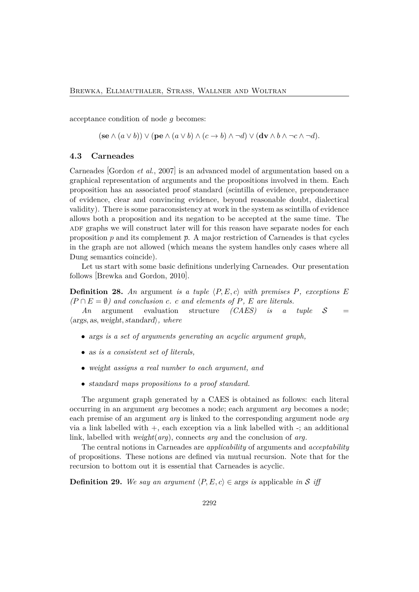acceptance condition of node *g* becomes:

 $(\mathbf{se} \wedge (a \vee b)) \vee (\mathbf{pe} \wedge (a \vee b) \wedge (c \rightarrow b) \wedge \neg d) \vee (\mathbf{dv} \wedge b \wedge \neg c \wedge \neg d)$ .

#### **4.3 Carneades**

Carneades [Gordon *et al.*, 2007] is an advanced model of argumentation based on a graphical representation of arguments and the propositions involved in them. Each proposition has an associated proof standard (scintilla of evidence, preponderance of evidence, clear and convincing evidence, beyond reasonable doubt, dialectical validity). There is some paraconsistency at work in the system as scintilla of evidence allows both a proposition and its negation to be accepted at the same time. The ADF graphs we will construct later will for this reason have separate nodes for each proposition  $p$  and its complement  $\bar{p}$ . A major restriction of Carneades is that cycles in the graph are not allowed (which means the system handles only cases where all Dung semantics coincide).

Let us start with some basic definitions underlying Carneades. Our presentation follows [Brewka and Gordon, 2010].

**Definition 28.** An argument *is a tuple*  $\langle P, E, c \rangle$  *with premises*  $P$ *, exceptions*  $E$  $(P \cap E = \emptyset)$  *and conclusion c. c and elements of P, E are literals.*<br>*An* argument evaluation structure *(CAES) is a tuple* 

 $\text{structure}$  *(CAES) is a tuple*  $S$  = ⟨args*,* as*,* weight*,*standard⟩*, where*

- args *is a set of arguments generating an acyclic argument graph,*
- as *is a consistent set of literals,*
- weight *assigns a real number to each argument, and*
- standard *maps propositions to a proof standard.*

The argument graph generated by a CAES is obtained as follows: each literal occurring in an argument *arg* becomes a node; each argument *arg* becomes a node; each premise of an argument *arg* is linked to the corresponding argument node *arg* via a link labelled with +, each exception via a link labelled with -; an additional link, labelled with weight(*arg*), connects *arg* and the conclusion of *arg*.

The central notions in Carneades are *applicability* of arguments and *acceptability* of propositions. These notions are defined via mutual recursion. Note that for the recursion to bottom out it is essential that Carneades is acyclic.

**Definition 29.** We say an argument  $\langle P, E, c \rangle \in \text{args}$  is applicable in S iff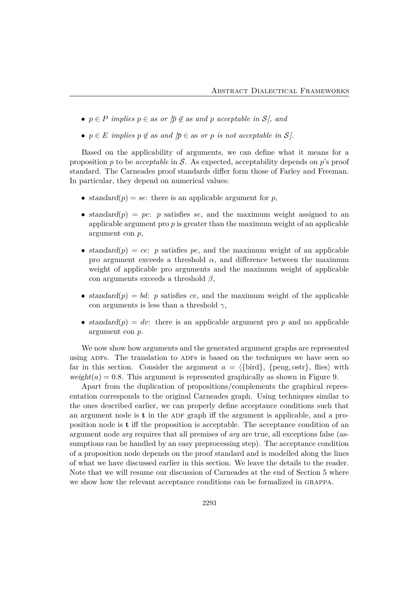- $p \in P$  *implies*  $p \in \text{as or } \overline{p} \notin \text{as and } p$  acceptable in S<sub>l</sub>, and
- $p \in E$  *implies*  $p \notin \text{as and } \overline{p} \in \text{as or } p$  *is not acceptable in*  $S$ *).*

Based on the applicability of arguments, we can define what it means for a proposition *p* to be *acceptable* in S. As expected, acceptability depends on *p*'s proof standard. The Carneades proof standards differ form those of Farley and Freeman. In particular, they depend on numerical values:

- standard $(p) = se$ : there is an applicable argument for *p*,
- standard(*p*) = *pe*: *p* satisfies *se*, and the maximum weight assigned to an applicable argument pro *p* is greater than the maximum weight of an applicable argument con *p*,
- standard $(p) = ce$ : *p* satisfies *pe*, and the maximum weight of an applicable pro argument exceeds a threshold  $\alpha$ , and difference between the maximum weight of applicable pro arguments and the maximum weight of applicable con arguments exceeds a threshold *β*,
- standard $(p) = bd$ : *p* satisfies *ce*, and the maximum weight of the applicable con arguments is less than a threshold *γ*,
- standard $(p) = dv$ : there is an applicable argument pro p and no applicable argument con *p*.

We now show how arguments and the generated argument graphs are represented using ADFs. The translation to ADFs is based on the techniques we have seen so far in this section. Consider the argument  $a = \{\text{bird}\}\,$ ,  $\{\text{peng}, \text{ostr}\}\,$ , flies) with weight( $a$ ) = 0.8. This argument is represented graphically as shown in Figure 9.

Apart from the duplication of propositions/complements the graphical representation corresponds to the original Carneades graph. Using techniques similar to the ones described earlier, we can properly define acceptance conditions such that an argument node is  $t$  in the ADF graph iff the argument is applicable, and a proposition node is **t** iff the proposition is acceptable. The acceptance condition of an argument node *arg* requires that all premises of *arg* are true, all exceptions false (assumptions can be handled by an easy preprocessing step). The acceptance condition of a proposition node depends on the proof standard and is modelled along the lines of what we have discussed earlier in this section. We leave the details to the reader. Note that we will resume our discussion of Carneades at the end of Section 5 where we show how the relevant acceptance conditions can be formalized in grappa.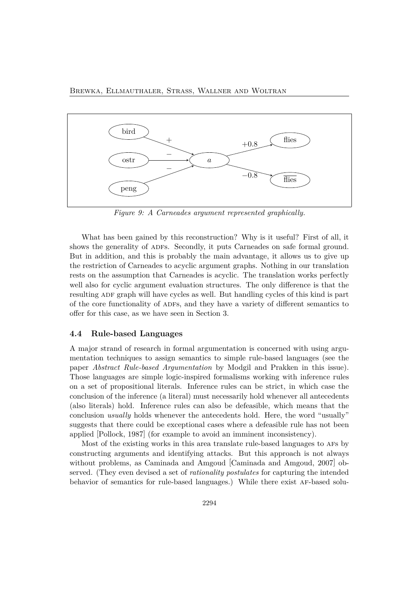

*Figure 9: A Carneades argument represented graphically.*

What has been gained by this reconstruction? Why is it useful? First of all, it shows the generality of ADFs. Secondly, it puts Carneades on safe formal ground. But in addition, and this is probably the main advantage, it allows us to give up the restriction of Carneades to acyclic argument graphs. Nothing in our translation rests on the assumption that Carneades is acyclic. The translation works perfectly well also for cyclic argument evaluation structures. The only difference is that the resulting ADF graph will have cycles as well. But handling cycles of this kind is part of the core functionality of adfs, and they have a variety of different semantics to offer for this case, as we have seen in Section 3.

#### **4.4 Rule-based Languages**

A major strand of research in formal argumentation is concerned with using argumentation techniques to assign semantics to simple rule-based languages (see the paper *Abstract Rule-based Argumentation* by Modgil and Prakken in this issue). Those languages are simple logic-inspired formalisms working with inference rules on a set of propositional literals. Inference rules can be strict, in which case the conclusion of the inference (a literal) must necessarily hold whenever all antecedents (also literals) hold. Inference rules can also be defeasible, which means that the conclusion *usually* holds whenever the antecedents hold. Here, the word "usually" suggests that there could be exceptional cases where a defeasible rule has not been applied [Pollock, 1987] (for example to avoid an imminent inconsistency).

Most of the existing works in this area translate rule-based languages to afs by constructing arguments and identifying attacks. But this approach is not always without problems, as Caminada and Amgoud [Caminada and Amgoud, 2007] observed. (They even devised a set of *rationality postulates* for capturing the intended behavior of semantics for rule-based languages.) While there exist af-based solu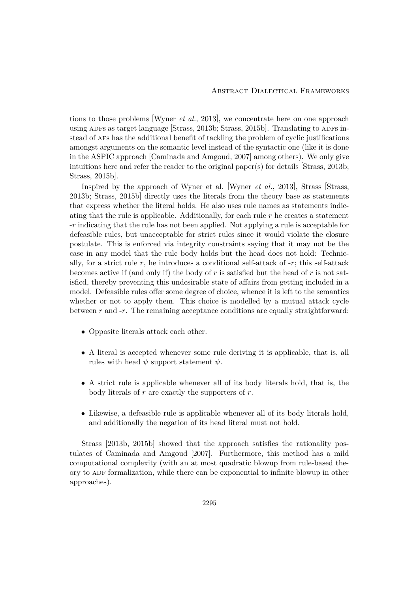tions to those problems [Wyner *et al.*, 2013], we concentrate here on one approach using ADFs as target language  $\left[Strass, 2013b; Strass, 2015b\right]$ . Translating to ADFs instead of afs has the additional benefit of tackling the problem of cyclic justifications amongst arguments on the semantic level instead of the syntactic one (like it is done in the ASPIC approach [Caminada and Amgoud, 2007] among others). We only give intuitions here and refer the reader to the original paper(s) for details  $\left[Strass, 2013b\right]$ ; Strass, 2015b].

Inspired by the approach of Wyner et al. [Wyner *et al.*, 2013], Strass [Strass, 2013b; Strass, 2015b] directly uses the literals from the theory base as statements that express whether the literal holds. He also uses rule names as statements indicating that the rule is applicable. Additionally, for each rule *r* he creates a statement -*r* indicating that the rule has not been applied. Not applying a rule is acceptable for defeasible rules, but unacceptable for strict rules since it would violate the closure postulate. This is enforced via integrity constraints saying that it may not be the case in any model that the rule body holds but the head does not hold: Technically, for a strict rule  $r$ , he introduces a conditional self-attack of  $-r$ ; this self-attack becomes active if (and only if) the body of *r* is satisfied but the head of *r* is not satisfied, thereby preventing this undesirable state of affairs from getting included in a model. Defeasible rules offer some degree of choice, whence it is left to the semantics whether or not to apply them. This choice is modelled by a mutual attack cycle between *r* and -*r*. The remaining acceptance conditions are equally straightforward:

- Opposite literals attack each other.
- A literal is accepted whenever some rule deriving it is applicable, that is, all rules with head  $\psi$  support statement  $\psi$ .
- A strict rule is applicable whenever all of its body literals hold, that is, the body literals of *r* are exactly the supporters of *r*.
- Likewise, a defeasible rule is applicable whenever all of its body literals hold, and additionally the negation of its head literal must not hold.

Strass [2013b, 2015b] showed that the approach satisfies the rationality postulates of Caminada and Amgoud [2007]. Furthermore, this method has a mild computational complexity (with an at most quadratic blowup from rule-based theory to ADF formalization, while there can be exponential to infinite blowup in other approaches).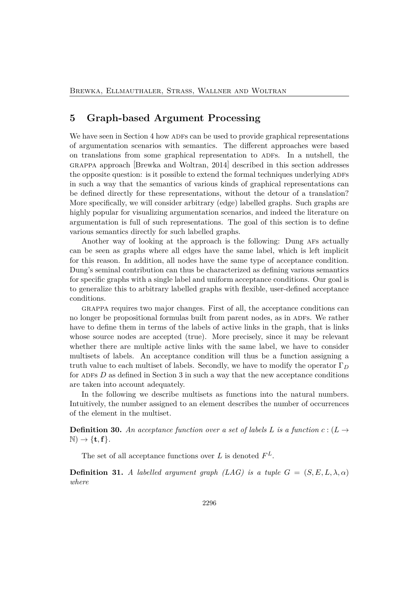### **5 Graph-based Argument Processing**

We have seen in Section 4 how ADFs can be used to provide graphical representations of argumentation scenarios with semantics. The different approaches were based on translations from some graphical representation to ADFs. In a nutshell, the grappa approach [Brewka and Woltran, 2014] described in this section addresses the opposite question: is it possible to extend the formal techniques underlying ADFs in such a way that the semantics of various kinds of graphical representations can be defined directly for these representations, without the detour of a translation? More specifically, we will consider arbitrary (edge) labelled graphs. Such graphs are highly popular for visualizing argumentation scenarios, and indeed the literature on argumentation is full of such representations. The goal of this section is to define various semantics directly for such labelled graphs.

Another way of looking at the approach is the following: Dung AFs actually can be seen as graphs where all edges have the same label, which is left implicit for this reason. In addition, all nodes have the same type of acceptance condition. Dung's seminal contribution can thus be characterized as defining various semantics for specific graphs with a single label and uniform acceptance conditions. Our goal is to generalize this to arbitrary labelled graphs with flexible, user-defined acceptance conditions.

grappa requires two major changes. First of all, the acceptance conditions can no longer be propositional formulas built from parent nodes, as in ADFs. We rather have to define them in terms of the labels of active links in the graph, that is links whose source nodes are accepted (true). More precisely, since it may be relevant whether there are multiple active links with the same label, we have to consider multisets of labels. An acceptance condition will thus be a function assigning a truth value to each multiset of labels. Secondly, we have to modify the operator Γ*<sup>D</sup>* for ADFs *D* as defined in Section 3 in such a way that the new acceptance conditions are taken into account adequately.

In the following we describe multisets as functions into the natural numbers. Intuitively, the number assigned to an element describes the number of occurrences of the element in the multiset.

**Definition 30.** An acceptance function over a set of labels L is a function  $c:(L \rightarrow$  $\mathbb{N}$   $\rightarrow$  {**t**, **f**}.

The set of all acceptance functions over  $L$  is denoted  $F^L$ .

**Definition 31.** *A labelled argument graph (LAG) is a tuple*  $G = (S, E, L, \lambda, \alpha)$ *where*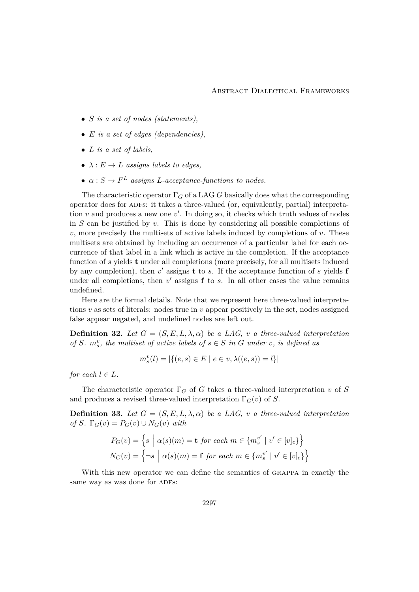- *S is a set of nodes (statements),*
- *E is a set of edges (dependencies),*
- *L is a set of labels,*
- $\lambda : E \to L$  *assigns labels to edges,*
- $\alpha: S \to F^L$  *assigns L*-acceptance-functions to nodes.

The characteristic operator  $\Gamma_G$  of a LAG *G* basically does what the corresponding operator does for adfs: it takes a three-valued (or, equivalently, partial) interpretation *v* and produces a new one *v*′ . In doing so, it checks which truth values of nodes in *S* can be justified by *v*. This is done by considering all possible completions of *v*, more precisely the multisets of active labels induced by completions of *v*. These multisets are obtained by including an occurrence of a particular label for each occurrence of that label in a link which is active in the completion. If the acceptance function of *s* yields **t** under all completions (more precisely, for all multisets induced by any completion), then *v*′ assigns **t** to *s*. If the acceptance function of *s* yields **f** under all completions, then *v*′ assigns **f** to *s*. In all other cases the value remains undefined.

Here are the formal details. Note that we represent here three-valued interpretations *v* as sets of literals: nodes true in *v* appear positively in the set, nodes assigned false appear negated, and undefined nodes are left out.

**Definition 32.** Let  $G = (S, E, L, \lambda, \alpha)$  be a LAG, *v* a three-valued interpretation *of*  $S$ *.*  $m_s^v$ *, the multiset of active labels of*  $s \in S$  *in*  $G$  *under*  $v$ *, is defined as* 

$$
m_s^v(l) = |\{(e, s) \in E \mid e \in v, \lambda((e, s)) = l\}|
$$

*for each*  $l \in L$ *.* 

The characteristic operator  $\Gamma_G$  of *G* takes a three-valued interpretation *v* of *S* and produces a revised three-valued interpretation  $\Gamma_G(v)$  of *S*.

**Definition 33.** Let  $G = (S, E, L, \lambda, \alpha)$  be a LAG, *v* a three-valued interpretation  $of S$ *.*  $\Gamma_G(v) = P_G(v) \cup N_G(v)$  *with* 

$$
P_G(v) = \left\{ s \mid \alpha(s)(m) = \mathbf{t} \text{ for each } m \in \{m_s^{v'} \mid v' \in [v]_c\} \right\}
$$
  

$$
N_G(v) = \left\{ \neg s \mid \alpha(s)(m) = \mathbf{f} \text{ for each } m \in \{m_s^{v'} \mid v' \in [v]_c\} \right\}
$$

With this new operator we can define the semantics of grappa in exactly the same way as was done for ADFs: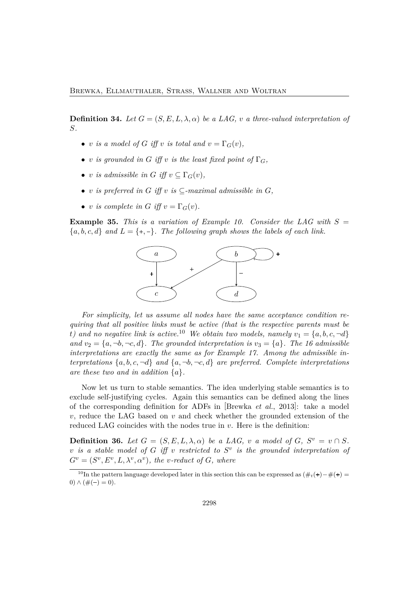**Definition 34.** Let  $G = (S, E, L, \lambda, \alpha)$  be a LAG, *v* a three-valued interpretation of *S.*

- *v is a model of G iff v is total and*  $v = \Gamma_G(v)$ *,*
- *v is grounded in G iff v is the least fixed point of*  $\Gamma_G$ *,*
- *v is admissible in*  $G$  *iff*  $v \n\subseteq \Gamma_G(v)$ *,*
- *v is preferred in G iff v is*  $\subset$ *-maximal admissible in G*,
- *v is complete in G iff*  $v = \Gamma_G(v)$ *.*

**Example 35.** This is a variation of Example 10. Consider the LAG with  $S =$  ${a, b, c, d}$  *and*  $L = \{+, -\}.$  The following graph shows the labels of each link.



*For simplicity, let us assume all nodes have the same acceptance condition requiring that all positive links must be active (that is the respective parents must be t*) and no negative link is active.<sup>10</sup> We obtain two models, namely  $v_1 = \{a, b, c, \neg d\}$ *and*  $v_2 = \{a, \neg b, \neg c, d\}$ *. The grounded interpretation is*  $v_3 = \{a\}$ *. The 16 admissible interpretations are exactly the same as for Example 17. Among the admissible interpretations*  $\{a, b, c, \neg d\}$  *and*  $\{a, \neg b, \neg c, d\}$  *are preferred. Complete interpretations are these two and in addition* {*a*}*.*

Now let us turn to stable semantics. The idea underlying stable semantics is to exclude self-justifying cycles. Again this semantics can be defined along the lines of the corresponding definition for ADFs in [Brewka *et al.*, 2013]: take a model *v*, reduce the LAG based on *v* and check whether the grounded extension of the reduced LAG coincides with the nodes true in *v*. Here is the definition:

**Definition 36.** Let  $G = (S, E, L, \lambda, \alpha)$  be a LAG, v a model of G,  $S^v = v \cap S$ . *v is a stable model of G iff v restricted to S<sup>v</sup> is the grounded interpretation of*  $G^v = (S^v, E^v, L, \lambda^v, \alpha^v)$ , the *v*-reduct of *G*, where

 $10$ In the pattern language developed later in this section this can be expressed as  $(\#_t(\mathbf{+}) - \#(\mathbf{+}) =$  $0) \wedge (\#(-) = 0).$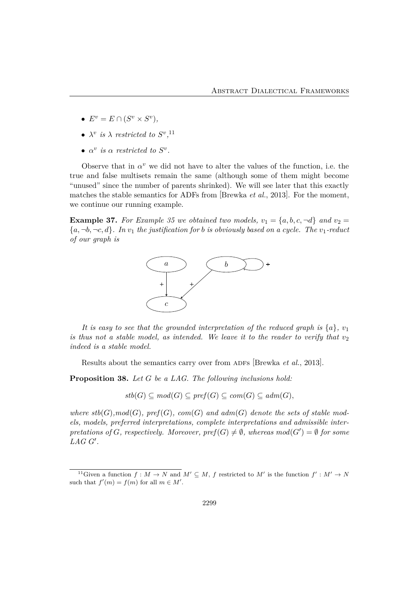- $E^v = E \cap (S^v \times S^v),$
- $\lambda^v$  *is*  $\lambda$  *restricted to*  $S^v$ <sup>11</sup>
- $\alpha^v$  *is*  $\alpha$  *restricted to*  $S^v$ *.*

Observe that in  $\alpha^v$  we did not have to alter the values of the function, i.e. the true and false multisets remain the same (although some of them might become "unused" since the number of parents shrinked). We will see later that this exactly matches the stable semantics for ADFs from [Brewka *et al.*, 2013]. For the moment, we continue our running example.

**Example 37.** For Example 35 we obtained two models,  $v_1 = \{a, b, c, \neg d\}$  and  $v_2 =$  ${a, \neg b, \neg c, d}$ *. In*  $v_1$  *the justification for b is obviously based on a cycle. The*  $v_1$ -reduct *of our graph is*



*It is easy to see that the grounded interpretation of the reduced graph is*  $\{a\}$ *, v*<sub>1</sub> *is thus not a stable model, as intended. We leave it to the reader to verify that*  $v_2$ *indeed is a stable model.*

Results about the semantics carry over from ADFs [Brewka *et al.*, 2013].

**Proposition 38.** *Let G be a LAG. The following inclusions hold:*

*stb*(*G*) ⊆ *mod*(*G*) ⊆ *pref*(*G*) ⊆ *com*(*G*) ⊆ *adm*(*G*)*,*

where  $stb(G)$ ,  $mod(G)$ ,  $pref(G)$ ,  $com(G)$  and  $adm(G)$  denote the sets of stable mod*els, models, preferred interpretations, complete interpretations and admissible inter* $pretations of G, respectively. Moreover,  $pref(G) \neq \emptyset$ , whereas  $mod(G') = \emptyset$  for some$ *LAG G*′ *.*

<sup>&</sup>lt;sup>11</sup>Given a function  $f : M \to N$  and  $M' \subset M$ ,  $f$  restricted to  $M'$  is the function  $f' : M' \to N$ such that  $f'(m) = f(m)$  for all  $m \in M'$ .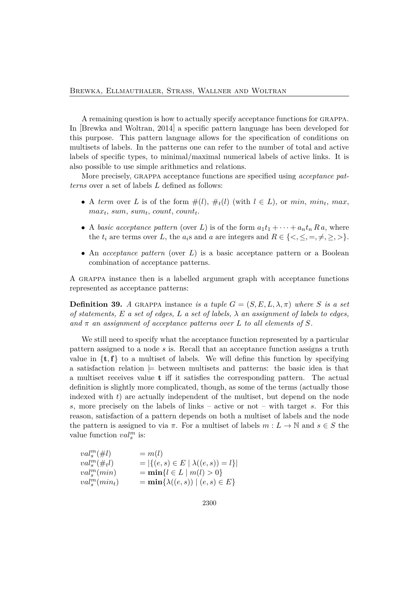A remaining question is how to actually specify acceptance functions for grappa. In [Brewka and Woltran, 2014] a specific pattern language has been developed for this purpose. This pattern language allows for the specification of conditions on multisets of labels. In the patterns one can refer to the number of total and active labels of specific types, to minimal/maximal numerical labels of active links. It is also possible to use simple arithmetics and relations.

More precisely, grappa acceptance functions are specified using *acceptance patterns* over a set of labels *L* defined as follows:

- A *term* over *L* is of the form  $\#(l)$ ,  $\#_t(l)$  (with  $l \in L$ ), or *min*, *min<sub>t</sub>*, *max*, *maxt*, *sum*, *sumt*, *count*, *countt*.
- A *basic acceptance pattern* (over *L*) is of the form  $a_1t_1 + \cdots + a_nt_n R a$ , where the  $t_i$  are terms over *L*, the  $a_i$ s and *a* are integers and  $R \in \{<,\leq,=,\neq,\geq,>\}.$
- An *acceptance pattern* (over *L*) is a basic acceptance pattern or a Boolean combination of acceptance patterns.

A grappa instance then is a labelled argument graph with acceptance functions represented as acceptance patterns:

**Definition 39.** *A* GRAPPA instance *is a tuple*  $G = (S, E, L, \lambda, \pi)$  *where S is a set of statements, E a set of edges, L a set of labels, λ an assignment of labels to edges,* and  $\pi$  an assignment of acceptance patterns over L to all elements of S.

We still need to specify what the acceptance function represented by a particular pattern assigned to a node *s* is. Recall that an acceptance function assigns a truth value in  $\{t, f\}$  to a multiset of labels. We will define this function by specifying a satisfaction relation  $\models$  between multisets and patterns: the basic idea is that a multiset receives value **t** iff it satisfies the corresponding pattern. The actual definition is slightly more complicated, though, as some of the terms (actually those indexed with *t*) are actually independent of the multiset, but depend on the node *s*, more precisely on the labels of links – active or not – with target *s*. For this reason, satisfaction of a pattern depends on both a multiset of labels and the node the pattern is assigned to via  $\pi$ . For a multiset of labels  $m: L \to \mathbb{N}$  and  $s \in S$  the value function  $val_s^m$  is:

$$
val_s^m(\#l) = m(l)
$$
  
\n
$$
val_s^m(\#_t l) = |\{(e, s) \in E \mid \lambda((e, s)) = l\}|
$$
  
\n
$$
val_s^m(min) = \min\{l \in L \mid m(l) > 0\}
$$
  
\n
$$
val_s^m(min_t) = \min\{\lambda((e, s)) \mid (e, s) \in E\}
$$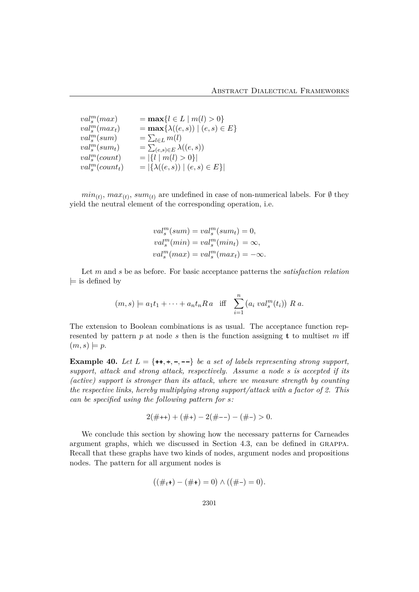$$
val_s^m(max) = \max\{l \in L \mid m(l) > 0\}
$$
  
\n
$$
val_s^m(max_t) = \max\{\lambda((e, s)) \mid (e, s) \in E\}
$$
  
\n
$$
val_s^m(sum) = \sum_{l \in L} m(l)
$$
  
\n
$$
val_s^m(sum) = \sum_{(e, s) \in E} \lambda((e, s))
$$
  
\n
$$
val_s^m(count) = |\{l \mid m(l) > 0\}|
$$
  
\n
$$
val_s^m(count) = |\{\lambda((e, s)) \mid (e, s) \in E\}|
$$

 $min_{(t)}$ ,  $max_{(t)}$ ,  $sum_{(t)}$  are undefined in case of non-numerical labels. For Ø they yield the neutral element of the corresponding operation, i.e.

$$
val_s^m(sum) = val_s^m(sum_t) = 0,
$$
  
\n
$$
val_s^m(min) = val_s^m(min_t) = \infty,
$$
  
\n
$$
val_s^m(max) = val_s^m(max_t) = -\infty.
$$

Let *m* and *s* be as before. For basic acceptance patterns the *satisfaction relation*  $\models$  is defined by

$$
(m, s) \models a_1t_1 + \cdots + a_nt_nRa \text{ iff } \sum_{i=1}^n (a_i val_s^m(t_i)) R a.
$$

The extension to Boolean combinations is as usual. The acceptance function represented by pattern  $p$  at node  $s$  then is the function assigning **t** to multiset  $m$  iff  $(m, s) \models p$ .

**Example 40.** Let  $L = \{++, +, -, --\}$  be a set of labels representing strong support, *support, attack and strong attack, respectively. Assume a node s is accepted if its (active) support is stronger than its attack, where we measure strength by counting the respective links, hereby multiplying strong support/attack with a factor of 2. This can be specified using the following pattern for s:*

$$
2(\# +\!\!\!+) + (\# +) - 2(\# -\!\!\!-) - (\# -) > 0.
$$

We conclude this section by showing how the necessary patterns for Carneades argument graphs, which we discussed in Section 4.3, can be defined in grappa. Recall that these graphs have two kinds of nodes, argument nodes and propositions nodes. The pattern for all argument nodes is

$$
((\#_t \mathbf{+}) - (\# \mathbf{+}) = 0) \wedge ((\# \mathbf{-}) = 0).
$$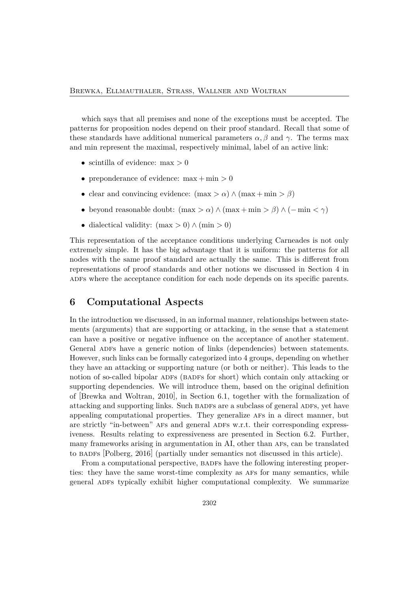which says that all premises and none of the exceptions must be accepted. The patterns for proposition nodes depend on their proof standard. Recall that some of these standards have additional numerical parameters  $\alpha$ ,  $\beta$  and  $\gamma$ . The terms max and min represent the maximal, respectively minimal, label of an active link:

- scintilla of evidence: max *>* 0
- preponderance of evidence: max + min *>* 0
- clear and convincing evidence:  $(\max > \alpha) \wedge (\max + \min > \beta)$
- beyond reasonable doubt:  $(\max > \alpha) \land (\max + \min > \beta) \land (-\min < \gamma)$
- dialectical validity: (max *>* 0) ∧ (min *>* 0)

This representation of the acceptance conditions underlying Carneades is not only extremely simple. It has the big advantage that it is uniform: the patterns for all nodes with the same proof standard are actually the same. This is different from representations of proof standards and other notions we discussed in Section 4 in ADFs where the acceptance condition for each node depends on its specific parents.

### **6 Computational Aspects**

In the introduction we discussed, in an informal manner, relationships between statements (arguments) that are supporting or attacking, in the sense that a statement can have a positive or negative influence on the acceptance of another statement. General ADFs have a generic notion of links (dependencies) between statements. However, such links can be formally categorized into 4 groups, depending on whether they have an attacking or supporting nature (or both or neither). This leads to the notion of so-called bipolar ADFs (BADFs for short) which contain only attacking or supporting dependencies. We will introduce them, based on the original definition of [Brewka and Woltran, 2010], in Section 6.1, together with the formalization of attacking and supporting links. Such BADFs are a subclass of general ADFs, yet have appealing computational properties. They generalize afs in a direct manner, but are strictly "in-between" AFs and general ADFs w.r.t. their corresponding expressiveness. Results relating to expressiveness are presented in Section 6.2. Further, many frameworks arising in argumentation in AI, other than AFs, can be translated to badfs [Polberg, 2016] (partially under semantics not discussed in this article).

From a computational perspective, BADFs have the following interesting properties: they have the same worst-time complexity as afs for many semantics, while general ADFs typically exhibit higher computational complexity. We summarize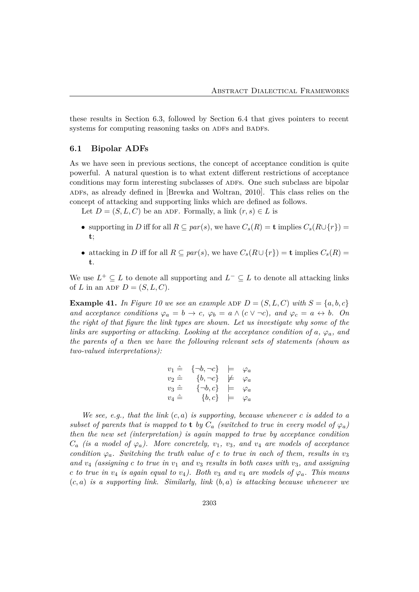these results in Section 6.3, followed by Section 6.4 that gives pointers to recent systems for computing reasoning tasks on ADFs and BADFs.

#### **6.1 Bipolar ADFs**

As we have seen in previous sections, the concept of acceptance condition is quite powerful. A natural question is to what extent different restrictions of acceptance conditions may form interesting subclasses of ADFs. One such subclass are bipolar ADFs, as already defined in [Brewka and Woltran, 2010]. This class relies on the concept of attacking and supporting links which are defined as follows.

Let  $D = (S, L, C)$  be an ADF. Formally, a link  $(r, s) \in L$  is

- supporting in *D* iff for all  $R \subseteq par(s)$ , we have  $C_s(R) = \mathbf{t}$  implies  $C_s(R \cup \{r\}) =$ **t**;
- attacking in *D* iff for all  $R \subseteq par(s)$ , we have  $C_s(R \cup \{r\}) = \mathbf{t}$  implies  $C_s(R) =$ **t**.

We use  $L^+ \subseteq L$  to denote all supporting and  $L^- \subseteq L$  to denote all attacking links of *L* in an ADF  $D = (S, L, C)$ .

**Example 41.** In Figure 10 we see an example ADF  $D = (S, L, C)$  with  $S = \{a, b, c\}$ *and acceptance conditions*  $\varphi_a = b \to c$ ,  $\varphi_b = a \wedge (c \vee \neg c)$ , and  $\varphi_c = a \leftrightarrow b$ . On *the right of that figure the link types are shown. Let us investigate why some of the links are supporting or attacking. Looking at the acceptance condition of a,*  $\varphi_a$ *, and the parents of a then we have the following relevant sets of statements (shown as two-valued interpretations):*

$$
v_1 \hat{=} \{ \neg b, \neg c \} \models \varphi_a
$$
  
\n
$$
v_2 \hat{=} \{ b, \neg c \} \not\models \varphi_a
$$
  
\n
$$
v_3 \hat{=} \{ \neg b, c \} \models \varphi_a
$$
  
\n
$$
v_4 \hat{=} \{ b, c \} \models \varphi_a
$$

*We see, e.g., that the link* (*c, a*) *is supporting, because whenever c is added to a subset of parents that is mapped to t by*  $C_a$  *(switched to true in every model of*  $\varphi_a$ *) then the new set (interpretation) is again mapped to true by acceptance condition*  $C_a$  *(is a model of*  $\varphi_a$ *). More concretely,*  $v_1$ ,  $v_3$ *, and*  $v_4$  *are models of acceptance condition*  $\varphi_a$ *. Switching the truth value of c to true in each of them, results in*  $v_3$ *and v*<sup>4</sup> *(assigning c to true in v*<sup>1</sup> *and v*<sup>3</sup> *results in both cases with v*3*, and assigning c to true in*  $v_4$  *is again equal to*  $v_4$ *). Both*  $v_3$  *and*  $v_4$  *are models of*  $\varphi_a$ *. This means* (*c, a*) *is a supporting link. Similarly, link* (*b, a*) *is attacking because whenever we*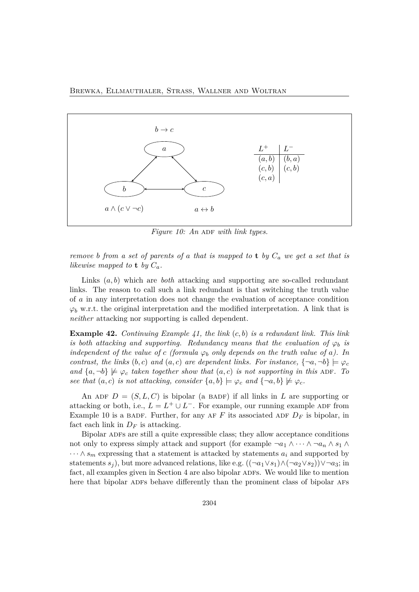

*Figure 10: An ADF with link types.* 

*remove b from a set of parents of a that is mapped to* **t** *by C<sup>a</sup> we get a set that is likewise mapped to* **t** *by*  $C_a$ *.* 

Links (*a, b*) which are *both* attacking and supporting are so-called redundant links. The reason to call such a link redundant is that switching the truth value of *a* in any interpretation does not change the evaluation of acceptance condition  $\varphi_b$  w.r.t. the original interpretation and the modified interpretation. A link that is *neither* attacking nor supporting is called dependent.

**Example 42.** *Continuing Example 41, the link* (*c, b*) *is a redundant link. This link is both attacking and supporting. Redundancy means that the evaluation of*  $\varphi_b$  *is independent of the value of c (formula*  $\varphi_b$  *only depends on the truth value of a). In contrast, the links*  $(b, c)$  *and*  $(a, c)$  *are dependent links. For instance,*  $\{\neg a, \neg b\} \models \varphi_c$ *and*  $\{a, \neg b\} \not\models \varphi_c$  *taken together show that*  $(a, c)$  *is not supporting in this* ADF. To *see that*  $(a, c)$  *is not attacking, consider*  $\{a, b\} \models \varphi_c$  *and*  $\{\neg a, b\} \not\models \varphi_c$ *.* 

An ADF  $D = (S, L, C)$  is bipolar (a BADF) if all links in L are supporting or attacking or both, i.e.,  $L = L^+ \cup L^-$ . For example, our running example ADF from Example 10 is a BADF. Further, for any AF  $F$  its associated ADF  $D_F$  is bipolar, in fact each link in  $D_F$  is attacking.

Bipolar ADFs are still a quite expressible class; they allow acceptance conditions not only to express simply attack and support (for example  $\neg a_1 \wedge \cdots \wedge \neg a_n \wedge s_1 \wedge$  $\cdots \wedge s_m$  expressing that a statement is attacked by statements  $a_i$  and supported by statements  $s_j$ ), but more advanced relations, like e.g.  $((\neg a_1 \lor s_1) \land (\neg a_2 \lor s_2)) \lor \neg a_3$ ; in fact, all examples given in Section 4 are also bipolar ADFs. We would like to mention here that bipolar ADFs behave differently than the prominent class of bipolar AFs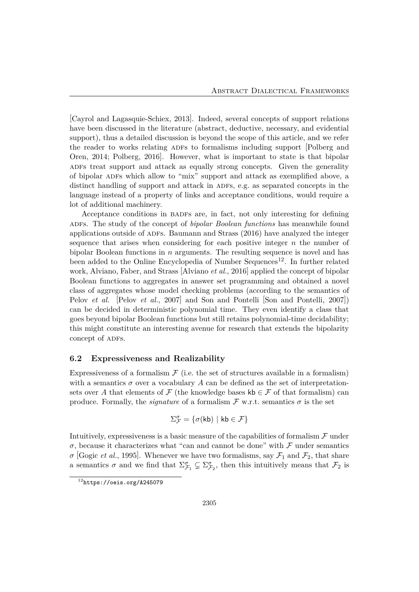[Cayrol and Lagasquie-Schiex, 2013]. Indeed, several concepts of support relations have been discussed in the literature (abstract, deductive, necessary, and evidential support), thus a detailed discussion is beyond the scope of this article, and we refer the reader to works relating ADFs to formalisms including support [Polberg and Oren, 2014; Polberg, 2016]. However, what is important to state is that bipolar ADFs treat support and attack as equally strong concepts. Given the generality of bipolar ADFs which allow to "mix" support and attack as exemplified above, a distinct handling of support and attack in ADFs, e.g. as separated concepts in the language instead of a property of links and acceptance conditions, would require a lot of additional machinery.

Acceptance conditions in BADFs are, in fact, not only interesting for defining adfs. The study of the concept of *bipolar Boolean functions* has meanwhile found applications outside of ADFs. Baumann and Strass (2016) have analyzed the integer sequence that arises when considering for each positive integer *n* the number of bipolar Boolean functions in *n* arguments. The resulting sequence is novel and has been added to the Online Encyclopedia of Number  $Sequences<sup>12</sup>$ . In further related work, Alviano, Faber, and Strass [Alviano *et al.*, 2016] applied the concept of bipolar Boolean functions to aggregates in answer set programming and obtained a novel class of aggregates whose model checking problems (according to the semantics of Pelov *et al.* [Pelov *et al.*, 2007] and Son and Pontelli [Son and Pontelli, 2007]) can be decided in deterministic polynomial time. They even identify a class that goes beyond bipolar Boolean functions but still retains polynomial-time decidability; this might constitute an interesting avenue for research that extends the bipolarity concept of ADFs.

#### **6.2 Expressiveness and Realizability**

Expressiveness of a formalism  $\mathcal F$  (i.e. the set of structures available in a formalism) with a semantics  $\sigma$  over a vocabulary A can be defined as the set of interpretationsets over A that elements of F (the knowledge bases  $kb \in \mathcal{F}$  of that formalism) can produce. Formally, the *signature* of a formalism  $\mathcal F$  w.r.t. semantics  $\sigma$  is the set

$$
\Sigma_{\mathcal{F}}^{\sigma} = \{ \sigma(\mathsf{kb}) \mid \mathsf{kb} \in \mathcal{F} \}
$$

Intuitively, expressiveness is a basic measure of the capabilities of formalism  $\mathcal F$  under *σ*, because it characterizes what "can and cannot be done" with  $\mathcal F$  under semantics *σ* [Gogic *et al.*, 1995]. Whenever we have two formalisms, say  $\mathcal{F}_1$  and  $\mathcal{F}_2$ , that share a semantics  $\sigma$  and we find that  $\Sigma^{\sigma}_{\mathcal{F}_1} \subsetneq \Sigma^{\sigma}_{\mathcal{F}_2}$ , then this intuitively means that  $\mathcal{F}_2$  is

 $12$ https://oeis.org/A245079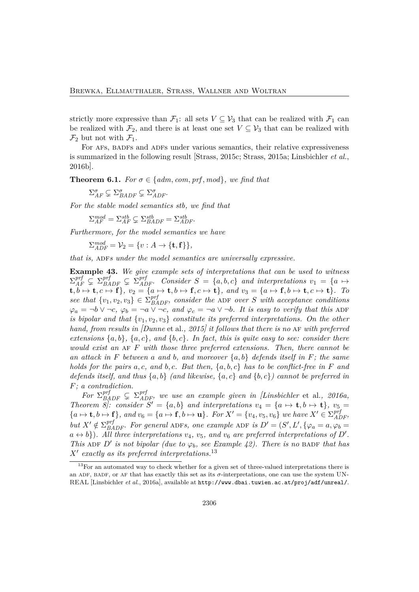strictly more expressive than  $\mathcal{F}_1$ : all sets  $V \subseteq \mathcal{V}_3$  that can be realized with  $\mathcal{F}_1$  can be realized with  $\mathcal{F}_2$ , and there is at least one set  $V \subseteq \mathcal{V}_3$  that can be realized with  $\mathcal{F}_2$  but not with  $\mathcal{F}_1$ .

For AFS, BADFS and ADFS under various semantics, their relative expressiveness is summarized in the following result [Strass, 2015c; Strass, 2015a; Linsbichler *et al.*, 2016b].

**Theorem 6.1.** *For*  $\sigma \in \{adm, com, prf, mod\}$ *, we find that* 

 $\Sigma_{AF}^{\sigma} \subsetneq \Sigma_{BADF}^{\sigma} \subsetneq \Sigma_{ADF}^{\sigma}$ .

*For the stable model semantics stb, we find that*

 $\Sigma_{AF}^{mod} = \Sigma_{AF}^{stb} \subsetneq \Sigma_{BADF}^{stb} = \Sigma_{ADF}^{stb}$ .

*Furthermore, for the model semantics we have*

 $\sum_{ADF}^{mod} = \mathcal{V}_2 = \{v : A \rightarrow \{\mathbf{t}, \mathbf{f}\}\},\$ 

*that is,* ADFs under the model semantics are universally expressive.

**Example 43.** *We give example sets of interpretations that can be used to witness*  $\Sigma_{AF}^{prf} \subsetneq \Sigma_{BADF}^{prf} \subsetneq \Sigma_{ADF}^{prf}$ . Consider  $S = \{a, b, c\}$  and interpretations  $v_1 = \{a \mapsto a\}$  $\mathbf{t}, b \mapsto \mathbf{t}, c \mapsto \mathbf{f}$ ,  $v_2 = \{a \mapsto \mathbf{t}, b \mapsto \mathbf{f}, c \mapsto \mathbf{t}\}, and v_3 = \{a \mapsto \mathbf{f}, b \mapsto \mathbf{t}, c \mapsto \mathbf{t}\}.$  To *see that*  $\{v_1, v_2, v_3\} \in \sum_{BADF}^{prf}$ , consider the ADF over *S* with acceptance conditions  $\varphi_a = \neg b \lor \neg c$ ,  $\varphi_b = \neg a \lor \neg c$ , and  $\varphi_c = \neg a \lor \neg b$ . It is easy to verify that this ADF *is bipolar and that* {*v*1*, v*2*, v*3} *constitute its preferred interpretations. On the other hand, from results in [Dunne* et al.*, 2015] it follows that there is no* af *with preferred extensions*  $\{a, b\}$ ,  $\{a, c\}$ *, and*  $\{b, c\}$ *. In fact, this is quite easy to see: consider there would exist an* af *F with those three preferred extensions. Then, there cannot be an attack in F between a and b, and moreover* {*a, b*} *defends itself in F; the same holds for the pairs a, c, and b, c. But then,* {*a, b, c*} *has to be conflict-free in F and defends itself, and thus* {*a, b*} *(and likewise,* {*a, c*} *and* {*b, c*}*) cannot be preferred in F; a contradiction.*

*For*  $\Sigma_{BADE}^{prf} \subsetneq \Sigma_{ADE}^{prf}$ , we use an example given in *[Linsbichler* et al., 2016a, *Theorem 8]: consider*  $S' = \{a, b\}$  *and interpretations*  $v_4 = \{a \mapsto t, b \mapsto t\}$ *,*  $v_5 =$  ${a \mapsto \mathbf{t}, b \mapsto \mathbf{f}}$ , and  $v_6 = {a \mapsto \mathbf{f}, b \mapsto \mathbf{u}}$ . For  $X' = {v_4, v_5, v_6}$  we have  $X' \in \Sigma_{ADF}^{prf}$ , *but*  $X' \notin \Sigma_{BADE}^{prf}$ . For general ADFs, one example ADF is  $D' = (S', L', \{\varphi_a = a, \varphi_b = a\})$  $a \leftrightarrow b$ . All three interpretations  $v_4$ ,  $v_5$ , and  $v_6$  are preferred interpretations of  $D'$ . *This* ADF D' *is not bipolar (due to*  $\varphi_b$ , see Example 42). There is no BADF that has *X*′ *exactly as its preferred interpretations.*<sup>13</sup>

 $13$ For an automated way to check whether for a given set of three-valued interpretations there is an ADF, BADF, or AF that has exactly this set as its  $\sigma$ -interpretations, one can use the system UN-REAL [Linsbichler *et al.*, 2016a], available at http://www.dbai.tuwien.ac.at/proj/adf/unreal/.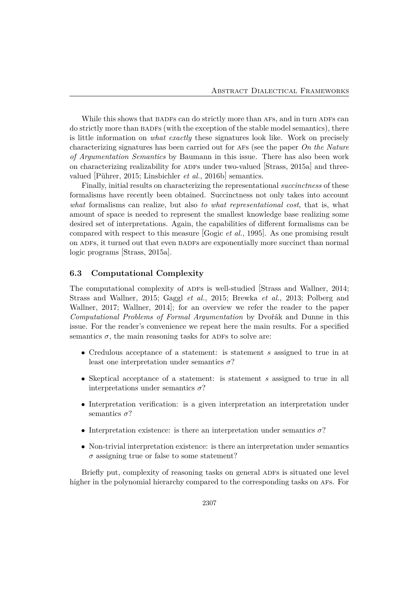While this shows that BADFs can do strictly more than AFs, and in turn ADFs can do strictly more than BADFs (with the exception of the stable model semantics), there is little information on *what exactly* these signatures look like. Work on precisely characterizing signatures has been carried out for afs (see the paper *On the Nature of Argumentation Semantics* by Baumann in this issue. There has also been work on characterizing realizability for ADFs under two-valued  $[Strass, 2015a]$  and threevalued [Pührer, 2015; Linsbichler *et al.*, 2016b] semantics.

Finally, initial results on characterizing the representational *succinctness* of these formalisms have recently been obtained. Succinctness not only takes into account *what* formalisms can realize, but also *to what representational cost*, that is, what amount of space is needed to represent the smallest knowledge base realizing some desired set of interpretations. Again, the capabilities of different formalisms can be compared with respect to this measure [Gogic *et al.*, 1995]. As one promising result on ADFs, it turned out that even BADFs are exponentially more succinct than normal logic programs [Strass, 2015a].

#### **6.3 Computational Complexity**

The computational complexity of ADFs is well-studied Strass and Wallner, 2014; Strass and Wallner, 2015; Gaggl *et al.*, 2015; Brewka *et al.*, 2013; Polberg and Wallner, 2017; Wallner, 2014]; for an overview we refer the reader to the paper *Computational Problems of Formal Argumentation* by Dvořák and Dunne in this issue. For the reader's convenience we repeat here the main results. For a specified semantics  $\sigma$ , the main reasoning tasks for ADFs to solve are:

- Credulous acceptance of a statement: is statement *s* assigned to true in at least one interpretation under semantics *σ*?
- Skeptical acceptance of a statement: is statement *s* assigned to true in all interpretations under semantics  $\sigma$ ?
- Interpretation verification: is a given interpretation an interpretation under semantics *σ*?
- Interpretation existence: is there an interpretation under semantics  $\sigma$ ?
- Non-trivial interpretation existence: is there an interpretation under semantics  $\sigma$  assigning true or false to some statement?

Briefly put, complexity of reasoning tasks on general ADFs is situated one level higher in the polynomial hierarchy compared to the corresponding tasks on AFs. For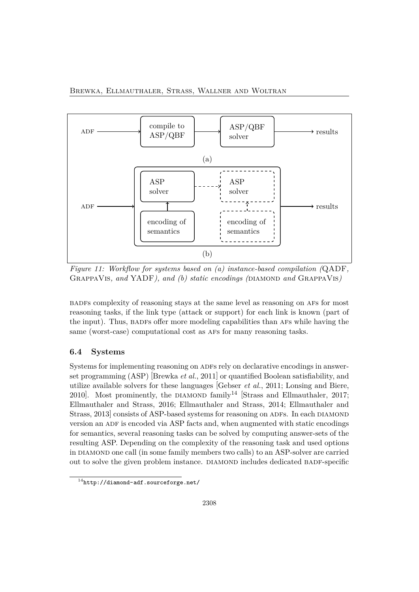

*Figure 11: Workflow for systems based on (a) instance-based compilation (*QADF*,* GrappaVis*, and* YADF*), and (b) static encodings (*diamond *and* GrappaVis*)*

badfs complexity of reasoning stays at the same level as reasoning on afs for most reasoning tasks, if the link type (attack or support) for each link is known (part of the input). Thus, BADFs offer more modeling capabilities than AFs while having the same (worst-case) computational cost as afs for many reasoning tasks.

### **6.4 Systems**

Systems for implementing reasoning on ADFs rely on declarative encodings in answerset programming (ASP) [Brewka *et al.*, 2011] or quantified Boolean satisfiability, and utilize available solvers for these languages [Gebser *et al.*, 2011; Lonsing and Biere, 2010]. Most prominently, the DIAMOND family<sup>14</sup> [Strass and Ellmauthaler, 2017; Ellmauthaler and Strass, 2016; Ellmauthaler and Strass, 2014; Ellmauthaler and Strass, 2013 consists of ASP-based systems for reasoning on ADFs. In each DIAMOND version an ADF is encoded via ASP facts and, when augmented with static encodings for semantics, several reasoning tasks can be solved by computing answer-sets of the resulting ASP. Depending on the complexity of the reasoning task and used options in diamond one call (in some family members two calls) to an ASP-solver are carried out to solve the given problem instance. DIAMOND includes dedicated BADF-specific

 $14$ http://diamond-adf.sourceforge.net/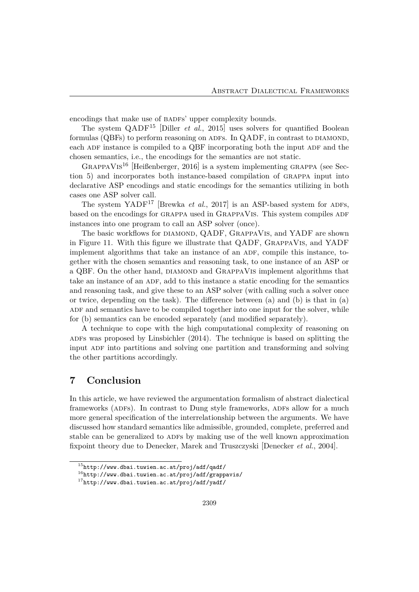encodings that make use of BADFs' upper complexity bounds.

The system QADF<sup>15</sup> [Diller *et al.*, 2015] uses solvers for quantified Boolean formulas  $(QBFs)$  to perform reasoning on ADFs. In  $QADE$ , in contrast to DIAMOND, each ADF instance is compiled to a QBF incorporating both the input ADF and the chosen semantics, i.e., the encodings for the semantics are not static.

 $GRAPPAVIS<sup>16</sup>$  [Heißenberger, 2016] is a system implementing GRAPPA (see Section 5) and incorporates both instance-based compilation of grappa input into declarative ASP encodings and static encodings for the semantics utilizing in both cases one ASP solver call.

The system YADF<sup>17</sup> [Brewka *et al.*, 2017] is an ASP-based system for ADFs, based on the encodings for GRAPPA used in GRAPPAVIS. This system compiles ADF instances into one program to call an ASP solver (once).

The basic workflows for DIAMOND, QADF, GRAPPAVIS, and YADF are shown in Figure 11. With this figure we illustrate that QADF, GrappaVis, and YADF implement algorithms that take an instance of an ADF, compile this instance, together with the chosen semantics and reasoning task, to one instance of an ASP or a QBF. On the other hand, DIAMOND and GRAPPAVIS implement algorithms that take an instance of an ADF, add to this instance a static encoding for the semantics and reasoning task, and give these to an ASP solver (with calling such a solver once or twice, depending on the task). The difference between (a) and (b) is that in (a) ADF and semantics have to be compiled together into one input for the solver, while for (b) semantics can be encoded separately (and modified separately).

A technique to cope with the high computational complexity of reasoning on ADFs was proposed by Linsbichler  $(2014)$ . The technique is based on splitting the input ADF into partitions and solving one partition and transforming and solving the other partitions accordingly.

### **7 Conclusion**

In this article, we have reviewed the argumentation formalism of abstract dialectical frameworks (ADFs). In contrast to Dung style frameworks, ADFs allow for a much more general specification of the interrelationship between the arguments. We have discussed how standard semantics like admissible, grounded, complete, preferred and stable can be generalized to ADFs by making use of the well known approximation fixpoint theory due to Denecker, Marek and Truszczyski [Denecker *et al.*, 2004].

 $^{15}\text{http://www.dbai.tuwien.ac.at/proj/adf/qadf/}$ 

 $^{16}$ http://www.dbai.tuwien.ac.at/proj/adf/grappavis/

<sup>17</sup>http://www.dbai.tuwien.ac.at/proj/adf/yadf/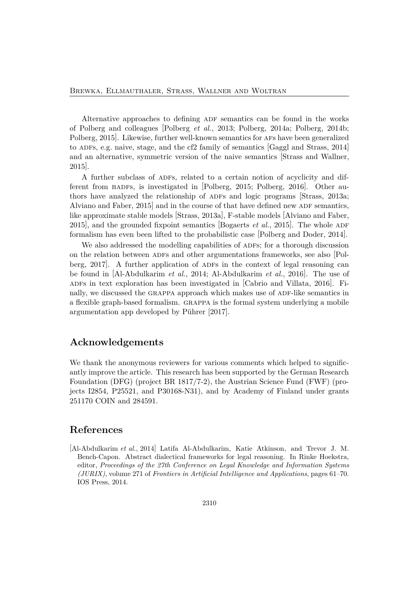Alternative approaches to defining ADF semantics can be found in the works of Polberg and colleagues [Polberg *et al.*, 2013; Polberg, 2014a; Polberg, 2014b; Polberg, 2015. Likewise, further well-known semantics for AFs have been generalized to ADFs, e.g. naive, stage, and the cf2 family of semantics  $[Gagg]$  and Strass, 2014 and an alternative, symmetric version of the naive semantics [Strass and Wallner, 2015].

A further subclass of ADFs, related to a certain notion of acyclicity and different from BADFs, is investigated in  $Polberg$ , 2015; Polberg, 2016. Other authors have analyzed the relationship of ADFs and logic programs Strass, 2013a; Alviano and Faber,  $2015$  and in the course of that have defined new ADF semantics, like approximate stable models [Strass, 2013a], F-stable models [Alviano and Faber, 2015], and the grounded fixpoint semantics [Bogaerts *et al.*, 2015]. The whole ADF formalism has even been lifted to the probabilistic case [Polberg and Doder, 2014].

We also addressed the modelling capabilities of ADFs; for a thorough discussion on the relation between ADFs and other argumentations frameworks, see also [Polberg, 2017. A further application of ADFs in the context of legal reasoning can be found in [Al-Abdulkarim *et al.*, 2014; Al-Abdulkarim *et al.*, 2016]. The use of ADFs in text exploration has been investigated in  $[{\rm Cabrio}$  and Villata, 2016. nally, we discussed the GRAPPA approach which makes use of ADF-like semantics in a flexible graph-based formalism. grappa is the formal system underlying a mobile argumentation app developed by Pührer [2017].

### **Acknowledgements**

We thank the anonymous reviewers for various comments which helped to significantly improve the article. This research has been supported by the German Research Foundation (DFG) (project BR 1817/7-2), the Austrian Science Fund (FWF) (projects I2854, P25521, and P30168-N31), and by Academy of Finland under grants 251170 COIN and 284591.

### **References**

[Al-Abdulkarim *et al.*, 2014] Latifa Al-Abdulkarim, Katie Atkinson, and Trevor J. M. Bench-Capon. Abstract dialectical frameworks for legal reasoning. In Rinke Hoekstra, editor, *Proceedings of the 27th Conference on Legal Knowledge and Information Systems (JURIX)*, volume 271 of *Frontiers in Artificial Intelligence and Applications*, pages 61–70. IOS Press, 2014.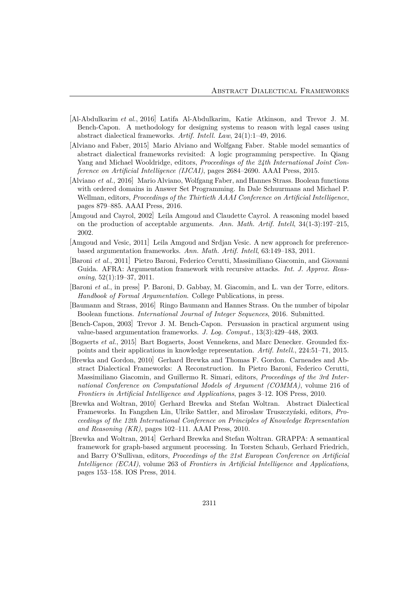- [Al-Abdulkarim *et al.*, 2016] Latifa Al-Abdulkarim, Katie Atkinson, and Trevor J. M. Bench-Capon. A methodology for designing systems to reason with legal cases using abstract dialectical frameworks. *Artif. Intell. Law*, 24(1):1–49, 2016.
- [Alviano and Faber, 2015] Mario Alviano and Wolfgang Faber. Stable model semantics of abstract dialectical frameworks revisited: A logic programming perspective. In Qiang Yang and Michael Wooldridge, editors, *Proceedings of the 24th International Joint Conference on Artificial Intelligence (IJCAI)*, pages 2684–2690. AAAI Press, 2015.
- [Alviano *et al.*, 2016] Mario Alviano, Wolfgang Faber, and Hannes Strass. Boolean functions with ordered domains in Answer Set Programming. In Dale Schuurmans and Michael P. Wellman, editors, *Proceedings of the Thirtieth AAAI Conference on Artificial Intelligence*, pages 879–885. AAAI Press, 2016.
- [Amgoud and Cayrol, 2002] Leila Amgoud and Claudette Cayrol. A reasoning model based on the production of acceptable arguments. *Ann. Math. Artif. Intell*, 34(1-3):197–215, 2002.
- [Amgoud and Vesic, 2011] Leila Amgoud and Srdjan Vesic. A new approach for preferencebased argumentation frameworks. *Ann. Math. Artif. Intell*, 63:149–183, 2011.
- [Baroni *et al.*, 2011] Pietro Baroni, Federico Cerutti, Massimiliano Giacomin, and Giovanni Guida. AFRA: Argumentation framework with recursive attacks. *Int. J. Approx. Reasoning*, 52(1):19–37, 2011.
- [Baroni *et al.*, in press] P. Baroni, D. Gabbay, M. Giacomin, and L. van der Torre, editors. *Handbook of Formal Argumentation*. College Publications, in press.
- [Baumann and Strass, 2016] Ringo Baumann and Hannes Strass. On the number of bipolar Boolean functions. *International Journal of Integer Sequences*, 2016. Submitted.
- [Bench-Capon, 2003] Trevor J. M. Bench-Capon. Persuasion in practical argument using value-based argumentation frameworks. *J. Log. Comput.*, 13(3):429–448, 2003.
- [Bogaerts *et al.*, 2015] Bart Bogaerts, Joost Vennekens, and Marc Denecker. Grounded fixpoints and their applications in knowledge representation. *Artif. Intell.*, 224:51–71, 2015.
- [Brewka and Gordon, 2010] Gerhard Brewka and Thomas F. Gordon. Carneades and Abstract Dialectical Frameworks: A Reconstruction. In Pietro Baroni, Federico Cerutti, Massimiliano Giacomin, and Guillermo R. Simari, editors, *Proceedings of the 3rd International Conference on Computational Models of Argument (COMMA)*, volume 216 of *Frontiers in Artificial Intelligence and Applications*, pages 3–12. IOS Press, 2010.
- [Brewka and Woltran, 2010] Gerhard Brewka and Stefan Woltran. Abstract Dialectical Frameworks. In Fangzhen Lin, Ulrike Sattler, and Miroslaw Truszczyński, editors, *Proceedings of the 12th International Conference on Principles of Knowledge Representation and Reasoning (KR)*, pages 102–111. AAAI Press, 2010.
- [Brewka and Woltran, 2014] Gerhard Brewka and Stefan Woltran. GRAPPA: A semantical framework for graph-based argument processing. In Torsten Schaub, Gerhard Friedrich, and Barry O'Sullivan, editors, *Proceedings of the 21st European Conference on Artificial Intelligence (ECAI)*, volume 263 of *Frontiers in Artificial Intelligence and Applications*, pages 153–158. IOS Press, 2014.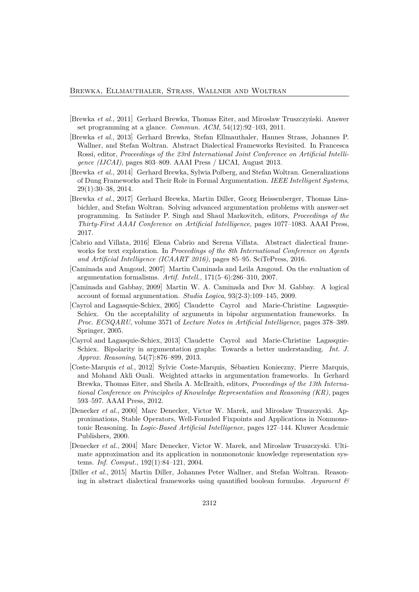- [Brewka *et al.*, 2011] Gerhard Brewka, Thomas Eiter, and Mirosław Truszczyński. Answer set programming at a glance. *Commun. ACM*, 54(12):92–103, 2011.
- [Brewka *et al.*, 2013] Gerhard Brewka, Stefan Ellmauthaler, Hannes Strass, Johannes P. Wallner, and Stefan Woltran. Abstract Dialectical Frameworks Revisited. In Francesca Rossi, editor, *Proceedings of the 23rd International Joint Conference on Artificial Intelligence (IJCAI)*, pages 803–809. AAAI Press / IJCAI, August 2013.
- [Brewka *et al.*, 2014] Gerhard Brewka, Sylwia Polberg, and Stefan Woltran. Generalizations of Dung Frameworks and Their Role in Formal Argumentation. *IEEE Intelligent Systems*, 29(1):30–38, 2014.
- [Brewka *et al.*, 2017] Gerhard Brewka, Martin Diller, Georg Heissenberger, Thomas Linsbichler, and Stefan Woltran. Solving advanced argumentation problems with answer-set programming. In Satinder P. Singh and Shaul Markovitch, editors, *Proceedings of the Thirty-First AAAI Conference on Artificial Intelligence*, pages 1077–1083. AAAI Press, 2017.
- [Cabrio and Villata, 2016] Elena Cabrio and Serena Villata. Abstract dialectical frameworks for text exploration. In *Proceedings of the 8th International Conference on Agents and Artificial Intelligence (ICAART 2016)*, pages 85–95. SciTePress, 2016.
- [Caminada and Amgoud, 2007] Martin Caminada and Leila Amgoud. On the evaluation of argumentation formalisms. *Artif. Intell.*, 171(5–6):286–310, 2007.
- [Caminada and Gabbay, 2009] Martin W. A. Caminada and Dov M. Gabbay. A logical account of formal argumentation. *Studia Logica*, 93(2-3):109–145, 2009.
- [Cayrol and Lagasquie-Schiex, 2005] Claudette Cayrol and Marie-Christine Lagasquie-Schiex. On the acceptability of arguments in bipolar argumentation frameworks. In *Proc. ECSQARU*, volume 3571 of *Lecture Notes in Artificial Intelligence*, pages 378–389. Springer, 2005.
- [Cayrol and Lagasquie-Schiex, 2013] Claudette Cayrol and Marie-Christine Lagasquie-Schiex. Bipolarity in argumentation graphs: Towards a better understanding. *Int. J. Approx. Reasoning*, 54(7):876–899, 2013.
- [Coste-Marquis *et al.*, 2012] Sylvie Coste-Marquis, Sébastien Konieczny, Pierre Marquis, and Mohand Akli Ouali. Weighted attacks in argumentation frameworks. In Gerhard Brewka, Thomas Eiter, and Sheila A. McIlraith, editors, *Proceedings of the 13th International Conference on Principles of Knowledge Representation and Reasoning (KR)*, pages 593–597. AAAI Press, 2012.
- [Denecker *et al.*, 2000] Marc Denecker, Victor W. Marek, and Miroslaw Truszczyski. Approximations, Stable Operators, Well-Founded Fixpoints and Applications in Nonmonotonic Reasoning. In *Logic-Based Artificial Intelligence*, pages 127–144. Kluwer Academic Publishers, 2000.
- [Denecker *et al.*, 2004] Marc Denecker, Victor W. Marek, and Miroslaw Truszczyski. Ultimate approximation and its application in nonmonotonic knowledge representation systems. *Inf. Comput.*, 192(1):84–121, 2004.
- [Diller *et al.*, 2015] Martin Diller, Johannes Peter Wallner, and Stefan Woltran. Reasoning in abstract dialectical frameworks using quantified boolean formulas. *Argument &*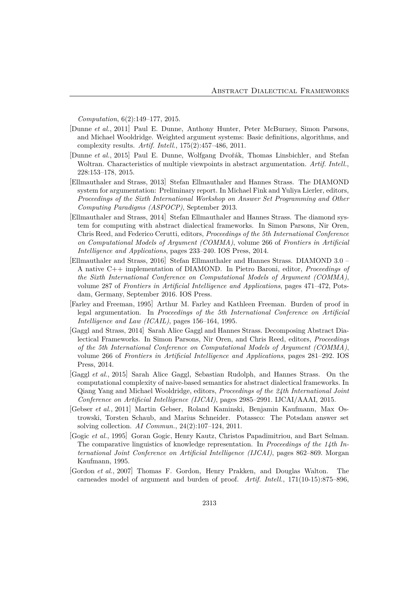*Computation*, 6(2):149–177, 2015.

- [Dunne *et al.*, 2011] Paul E. Dunne, Anthony Hunter, Peter McBurney, Simon Parsons, and Michael Wooldridge. Weighted argument systems: Basic definitions, algorithms, and complexity results. *Artif. Intell.*, 175(2):457–486, 2011.
- [Dunne *et al.*, 2015] Paul E. Dunne, Wolfgang Dvořák, Thomas Linsbichler, and Stefan Woltran. Characteristics of multiple viewpoints in abstract argumentation. *Artif. Intell.*, 228:153–178, 2015.
- [Ellmauthaler and Strass, 2013] Stefan Ellmauthaler and Hannes Strass. The DIAMOND system for argumentation: Preliminary report. In Michael Fink and Yuliya Lierler, editors, *Proceedings of the Sixth International Workshop on Answer Set Programming and Other Computing Paradigms (ASPOCP)*, September 2013.
- [Ellmauthaler and Strass, 2014] Stefan Ellmauthaler and Hannes Strass. The diamond system for computing with abstract dialectical frameworks. In Simon Parsons, Nir Oren, Chris Reed, and Federico Cerutti, editors, *Proceedings of the 5th International Conference on Computational Models of Argument (COMMA)*, volume 266 of *Frontiers in Artificial Intelligence and Applications*, pages 233–240. IOS Press, 2014.
- [Ellmauthaler and Strass, 2016] Stefan Ellmauthaler and Hannes Strass. DIAMOND 3.0 A native C++ implementation of DIAMOND. In Pietro Baroni, editor, *Proceedings of the Sixth International Conference on Computational Models of Argument (COMMA)*, volume 287 of *Frontiers in Artificial Intelligence and Applications*, pages 471–472, Potsdam, Germany, September 2016. IOS Press.
- [Farley and Freeman, 1995] Arthur M. Farley and Kathleen Freeman. Burden of proof in legal argumentation. In *Proceedings of the 5th International Conference on Artificial Intelligence and Law (ICAIL)*, pages 156–164, 1995.
- [Gaggl and Strass, 2014] Sarah Alice Gaggl and Hannes Strass. Decomposing Abstract Dialectical Frameworks. In Simon Parsons, Nir Oren, and Chris Reed, editors, *Proceedings of the 5th International Conference on Computational Models of Argument (COMMA)*, volume 266 of *Frontiers in Artificial Intelligence and Applications*, pages 281–292. IOS Press, 2014.
- [Gaggl *et al.*, 2015] Sarah Alice Gaggl, Sebastian Rudolph, and Hannes Strass. On the computational complexity of naive-based semantics for abstract dialectical frameworks. In Qiang Yang and Michael Wooldridge, editors, *Proceedings of the 24th International Joint Conference on Artificial Intelligence (IJCAI)*, pages 2985–2991. IJCAI/AAAI, 2015.
- [Gebser *et al.*, 2011] Martin Gebser, Roland Kaminski, Benjamin Kaufmann, Max Ostrowski, Torsten Schaub, and Marius Schneider. Potassco: The Potsdam answer set solving collection. *AI Commun.*, 24(2):107–124, 2011.
- [Gogic *et al.*, 1995] Goran Gogic, Henry Kautz, Christos Papadimitriou, and Bart Selman. The comparative linguistics of knowledge representation. In *Proceedings of the 14th International Joint Conference on Artificial Intelligence (IJCAI)*, pages 862–869. Morgan Kaufmann, 1995.
- [Gordon *et al.*, 2007] Thomas F. Gordon, Henry Prakken, and Douglas Walton. The carneades model of argument and burden of proof. *Artif. Intell.*, 171(10-15):875–896,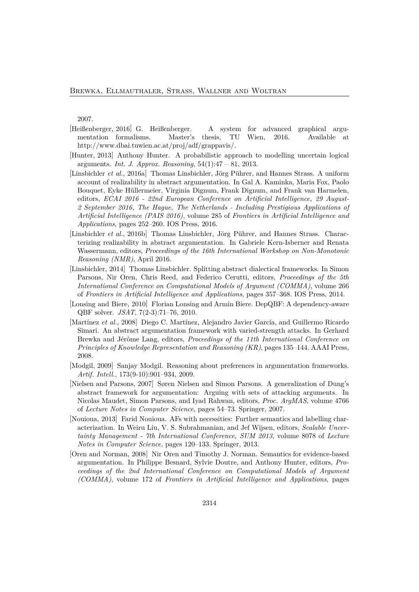2007.

- [Heißenberger, 2016] G. Heißenberger. A system for advanced graphical argumentation formalisms. Master's thesis, TU Wien, 2016. Available at http://www.dbai.tuwien.ac.at/proj/adf/grappavis/.
- [Hunter, 2013] Anthony Hunter. A probabilistic approach to modelling uncertain logical arguments. *Int. J. Approx. Reasoning*, 54(1):47 – 81, 2013.
- [Linsbichler *et al.*, 2016a] Thomas Linsbichler, Jörg Pührer, and Hannes Strass. A uniform account of realizability in abstract argumentation. In Gal A. Kaminka, Maria Fox, Paolo Bouquet, Eyke Hüllermeier, Virginia Dignum, Frank Dignum, and Frank van Harmelen, editors, *ECAI 2016 - 22nd European Conference on Artificial Intelligence, 29 August-2 September 2016, The Hague, The Netherlands - Including Prestigious Applications of Artificial Intelligence (PAIS 2016)*, volume 285 of *Frontiers in Artificial Intelligence and Applications*, pages 252–260. IOS Press, 2016.
- [Linsbichler *et al.*, 2016b] Thomas Linsbichler, Jörg Pührer, and Hannes Strass. Characterizing realizability in abstract argumentation. In Gabriele Kern-Isberner and Renata Wassermann, editors, *Proceedings of the 16th International Workshop on Non-Monotonic Reasoning (NMR)*, April 2016.
- [Linsbichler, 2014] Thomas Linsbichler. Splitting abstract dialectical frameworks. In Simon Parsons, Nir Oren, Chris Reed, and Federico Cerutti, editors, *Proceedings of the 5th International Conference on Computational Models of Argument (COMMA)*, volume 266 of *Frontiers in Artificial Intelligence and Applications*, pages 357–368. IOS Press, 2014.
- [Lonsing and Biere, 2010] Florian Lonsing and Armin Biere. DepQBF: A dependency-aware QBF solver. *JSAT*, 7(2-3):71–76, 2010.
- [Martínez *et al.*, 2008] Diego C. Martínez, Alejandro Javier García, and Guillermo Ricardo Simari. An abstract argumentation framework with varied-strength attacks. In Gerhard Brewka and Jérôme Lang, editors, *Proceedings of the 11th International Conference on Principles of Knowledge Representation and Reasoning (KR)*, pages 135–144. AAAI Press, 2008.
- [Modgil, 2009] Sanjay Modgil. Reasoning about preferences in argumentation frameworks. *Artif. Intell.*, 173(9-10):901–934, 2009.
- [Nielsen and Parsons, 2007] Søren Nielsen and Simon Parsons. A generalization of Dung's abstract framework for argumentation: Arguing with sets of attacking arguments. In Nicolas Maudet, Simon Parsons, and Iyad Rahwan, editors, *Proc. ArgMAS*, volume 4766 of *Lecture Notes in Computer Science*, pages 54–73. Springer, 2007.
- [Nouioua, 2013] Farid Nouioua. AFs with necessities: Further semantics and labelling characterization. In Weiru Liu, V. S. Subrahmanian, and Jef Wijsen, editors, *Scalable Uncertainty Management - 7th International Conference, SUM 2013*, volume 8078 of *Lecture Notes in Computer Science*, pages 120–133. Springer, 2013.
- [Oren and Norman, 2008] Nir Oren and Timothy J. Norman. Semantics for evidence-based argumentation. In Philippe Besnard, Sylvie Doutre, and Anthony Hunter, editors, *Proceedings of the 2nd International Conference on Computational Models of Argument (COMMA)*, volume 172 of *Frontiers in Artificial Intelligence and Applications*, pages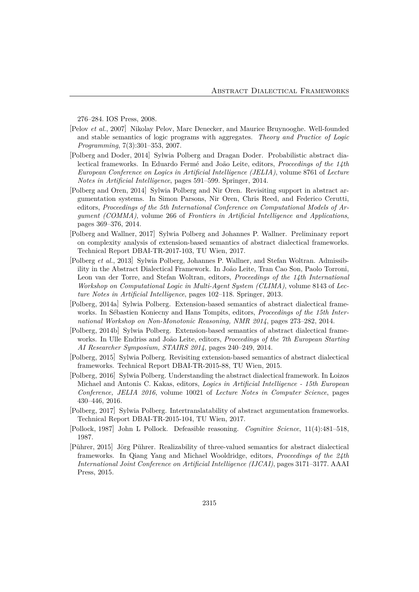276–284. IOS Press, 2008.

- [Pelov *et al.*, 2007] Nikolay Pelov, Marc Denecker, and Maurice Bruynooghe. Well-founded and stable semantics of logic programs with aggregates. *Theory and Practice of Logic Programming*, 7(3):301–353, 2007.
- [Polberg and Doder, 2014] Sylwia Polberg and Dragan Doder. Probabilistic abstract dialectical frameworks. In Eduardo Fermé and João Leite, editors, *Proceedings of the 14th European Conference on Logics in Artificial Intelligence (JELIA)*, volume 8761 of *Lecture Notes in Artificial Intelligence*, pages 591–599. Springer, 2014.
- [Polberg and Oren, 2014] Sylwia Polberg and Nir Oren. Revisiting support in abstract argumentation systems. In Simon Parsons, Nir Oren, Chris Reed, and Federico Cerutti, editors, *Proceedings of the 5th International Conference on Computational Models of Argument (COMMA)*, volume 266 of *Frontiers in Artificial Intelligence and Applications*, pages 369–376, 2014.
- [Polberg and Wallner, 2017] Sylwia Polberg and Johannes P. Wallner. Preliminary report on complexity analysis of extension-based semantics of abstract dialectical frameworks. Technical Report DBAI-TR-2017-103, TU Wien, 2017.
- [Polberg *et al.*, 2013] Sylwia Polberg, Johannes P. Wallner, and Stefan Woltran. Admissibility in the Abstract Dialectical Framework. In João Leite, Tran Cao Son, Paolo Torroni, Leon van der Torre, and Stefan Woltran, editors, *Proceedings of the 14th International Workshop on Computational Logic in Multi-Agent System (CLIMA)*, volume 8143 of *Lecture Notes in Artificial Intelligence*, pages 102–118. Springer, 2013.
- [Polberg, 2014a] Sylwia Polberg. Extension-based semantics of abstract dialectical frameworks. In Sébastien Koniecny and Hans Tompits, editors, *Proceedings of the 15th International Workshop on Non-Monotonic Reasoning, NMR 2014*, pages 273–282, 2014.
- [Polberg, 2014b] Sylwia Polberg. Extension-based semantics of abstract dialectical frameworks. In Ulle Endriss and João Leite, editors, *Proceedings of the 7th European Starting AI Researcher Symposium, STAIRS 2014*, pages 240–249, 2014.
- [Polberg, 2015] Sylwia Polberg. Revisiting extension-based semantics of abstract dialectical frameworks. Technical Report DBAI-TR-2015-88, TU Wien, 2015.
- [Polberg, 2016] Sylwia Polberg. Understanding the abstract dialectical framework. In Loizos Michael and Antonis C. Kakas, editors, *Logics in Artificial Intelligence - 15th European Conference, JELIA 2016*, volume 10021 of *Lecture Notes in Computer Science*, pages 430–446, 2016.
- [Polberg, 2017] Sylwia Polberg. Intertranslatability of abstract argumentation frameworks. Technical Report DBAI-TR-2015-104, TU Wien, 2017.
- [Pollock, 1987] John L Pollock. Defeasible reasoning. *Cognitive Science*, 11(4):481–518, 1987.
- [Pührer, 2015] Jörg Pührer. Realizability of three-valued semantics for abstract dialectical frameworks. In Qiang Yang and Michael Wooldridge, editors, *Proceedings of the 24th International Joint Conference on Artificial Intelligence (IJCAI)*, pages 3171–3177. AAAI Press, 2015.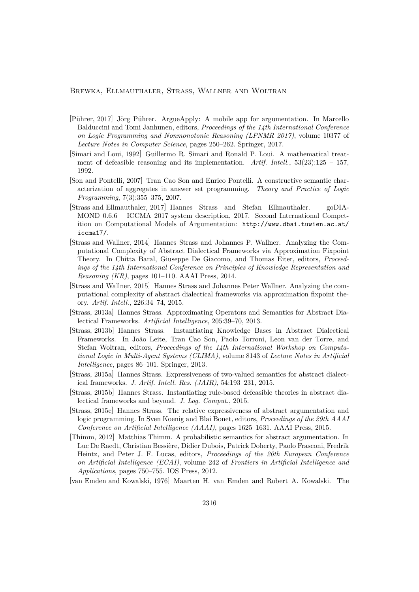- [Pührer, 2017] Jörg Pührer. ArgueApply: A mobile app for argumentation. In Marcello Balduccini and Tomi Janhunen, editors, *Proceedings of the 14th International Conference on Logic Programming and Nonmonotonic Reasoning (LPNMR 2017)*, volume 10377 of *Lecture Notes in Computer Science*, pages 250–262. Springer, 2017.
- [Simari and Loui, 1992] Guillermo R. Simari and Ronald P. Loui. A mathematical treatment of defeasible reasoning and its implementation. *Artif. Intell.*, 53(23):125 – 157, 1992.
- [Son and Pontelli, 2007] Tran Cao Son and Enrico Pontelli. A constructive semantic characterization of aggregates in answer set programming. *Theory and Practice of Logic Programming*, 7(3):355–375, 2007.
- [Strass and Ellmauthaler, 2017] Hannes Strass and Stefan Ellmauthaler. goDIA-MOND 0.6.6 – ICCMA 2017 system description, 2017. Second International Competition on Computational Models of Argumentation: http://www.dbai.tuwien.ac.at/ iccma17/.
- [Strass and Wallner, 2014] Hannes Strass and Johannes P. Wallner. Analyzing the Computational Complexity of Abstract Dialectical Frameworks via Approximation Fixpoint Theory. In Chitta Baral, Giuseppe De Giacomo, and Thomas Eiter, editors, *Proceedings of the 14th International Conference on Principles of Knowledge Representation and Reasoning (KR)*, pages 101–110. AAAI Press, 2014.
- [Strass and Wallner, 2015] Hannes Strass and Johannes Peter Wallner. Analyzing the computational complexity of abstract dialectical frameworks via approximation fixpoint theory. *Artif. Intell.*, 226:34–74, 2015.
- [Strass, 2013a] Hannes Strass. Approximating Operators and Semantics for Abstract Dialectical Frameworks. *Artificial Intelligence*, 205:39–70, 2013.
- [Strass, 2013b] Hannes Strass. Instantiating Knowledge Bases in Abstract Dialectical Frameworks. In João Leite, Tran Cao Son, Paolo Torroni, Leon van der Torre, and Stefan Woltran, editors, *Proceedings of the 14th International Workshop on Computational Logic in Multi-Agent Systems (CLIMA)*, volume 8143 of *Lecture Notes in Artificial Intelligence*, pages 86–101. Springer, 2013.
- [Strass, 2015a] Hannes Strass. Expressiveness of two-valued semantics for abstract dialectical frameworks. *J. Artif. Intell. Res. (JAIR)*, 54:193–231, 2015.
- [Strass, 2015b] Hannes Strass. Instantiating rule-based defeasible theories in abstract dialectical frameworks and beyond. *J. Log. Comput.*, 2015.
- [Strass, 2015c] Hannes Strass. The relative expressiveness of abstract argumentation and logic programming. In Sven Koenig and Blai Bonet, editors, *Proceedings of the 29th AAAI Conference on Artificial Intelligence (AAAI)*, pages 1625–1631. AAAI Press, 2015.
- [Thimm, 2012] Matthias Thimm. A probabilistic semantics for abstract argumentation. In Luc De Raedt, Christian Bessière, Didier Dubois, Patrick Doherty, Paolo Frasconi, Fredrik Heintz, and Peter J. F. Lucas, editors, *Proceedings of the 20th European Conference on Artificial Intelligence (ECAI)*, volume 242 of *Frontiers in Artificial Intelligence and Applications*, pages 750–755. IOS Press, 2012.

[van Emden and Kowalski, 1976] Maarten H. van Emden and Robert A. Kowalski. The